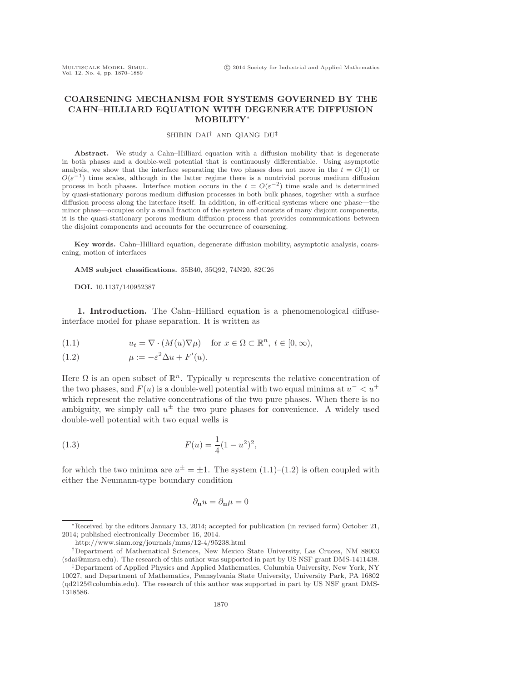# **COARSENING MECHANISM FOR SYSTEMS GOVERNED BY THE CAHN–HILLIARD EQUATION WITH DEGENERATE DIFFUSION MOBILITY**∗

## SHIBIN DAI† AND QIANG DU‡

Abstract. We study a Cahn–Hilliard equation with a diffusion mobility that is degenerate in both phases and a double-well potential that is continuously differentiable. Using asymptotic analysis, we show that the interface separating the two phases does not move in the  $t = O(1)$  or  $O(\varepsilon^{-1})$  time scales, although in the latter regime there is a nontrivial porous medium diffusion process in both phases. Interface motion occurs in the  $t = O(\varepsilon^{-2})$  time scale and is determined by quasi-stationary porous medium diffusion processes in both bulk phases, together with a surface diffusion process along the interface itself. In addition, in off-critical systems where one phase—the minor phase—occupies only a small fraction of the system and consists of many disjoint components, it is the quasi-stationary porous medium diffusion process that provides communications between the disjoint components and accounts for the occurrence of coarsening.

**Key words.** Cahn–Hilliard equation, degenerate diffusion mobility, asymptotic analysis, coarsening, motion of interfaces

**AMS subject classifications.** 35B40, 35Q92, 74N20, 82C26

#### **DOI.** 10.1137/140952387

**1. Introduction.** The Cahn–Hilliard equation is a phenomenological diffuseinterface model for phase separation. It is written as

<span id="page-0-0"></span>(1.1) 
$$
u_t = \nabla \cdot (M(u)\nabla \mu) \quad \text{for } x \in \Omega \subset \mathbb{R}^n, t \in [0, \infty),
$$

<span id="page-0-1"></span>(1.2) 
$$
\mu := -\varepsilon^2 \Delta u + F'(u).
$$

Here  $\Omega$  is an open subset of  $\mathbb{R}^n$ . Typically u represents the relative concentration of the two phases, and  $F(u)$  is a double-well potential with two equal minima at  $u<sup>-</sup> < u<sup>+</sup>$ which represent the relative concentrations of the two pure phases. When there is no ambiguity, we simply call  $u^{\pm}$  the two pure phases for convenience. A widely used double-well potential with two equal wells is

<span id="page-0-2"></span>(1.3) 
$$
F(u) = \frac{1}{4}(1 - u^2)^2,
$$

for which the two minima are  $u^{\pm} = \pm 1$ . The system  $(1.1)$ – $(1.2)$  is often coupled with either the Neumann-type boundary condition

$$
\partial_\mathbf{n} u = \partial_\mathbf{n} \mu = 0
$$

<sup>∗</sup>Received by the editors January 13, 2014; accepted for publication (in revised form) October 21, 2014; published electronically December 16, 2014.

<http://www.siam.org/journals/mms/12-4/95238.html>

<sup>†</sup>Department of Mathematical Sciences, New Mexico State University, Las Cruces, NM 88003 [\(sdai@nmsu.edu\)](mailto:sdai@nmsu.edu). The research of this author was supported in part by US NSF grant DMS-1411438.

<sup>‡</sup>Department of Applied Physics and Applied Mathematics, Columbia University, New York, NY 10027, and Department of Mathematics, Pennsylvania State University, University Park, PA 16802 [\(qd2125@columbia.edu\)](mailto:qd2125@columbia.edu). The research of this author was supported in part by US NSF grant DMS-1318586.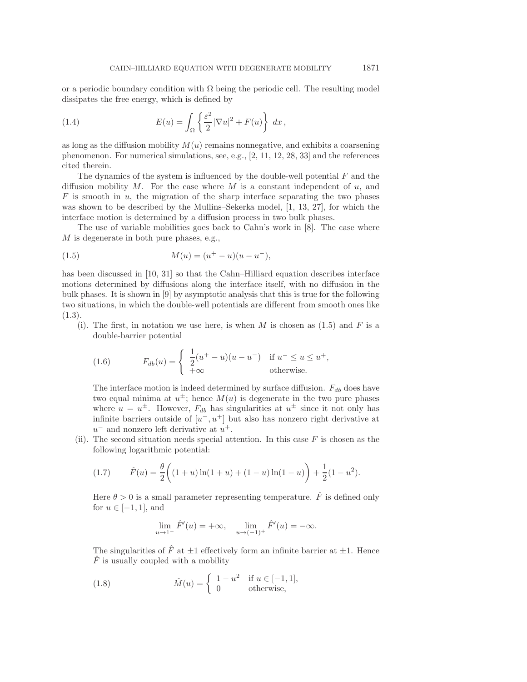or a periodic boundary condition with  $\Omega$  being the periodic cell. The resulting model dissipates the free energy, which is defined by

<span id="page-1-3"></span>(1.4) 
$$
E(u) = \int_{\Omega} \left\{ \frac{\varepsilon^2}{2} |\nabla u|^2 + F(u) \right\} dx,
$$

as long as the diffusion mobility  $M(u)$  remains nonnegative, and exhibits a coarsening phenomenon. For numerical simulations, see, e.g., [\[2,](#page-17-0) [11,](#page-18-0) [12,](#page-18-1) [28,](#page-18-2) [33\]](#page-19-0) and the references cited therein.

The dynamics of the system is influenced by the double-well potential  $F$  and the diffusion mobility  $M$ . For the case where  $M$  is a constant independent of  $u$ , and  $F$  is smooth in  $u$ , the migration of the sharp interface separating the two phases was shown to be described by the Mullins–Sekerka model, [\[1,](#page-17-1) [13,](#page-18-3) [27\]](#page-18-4), for which the interface motion is determined by a diffusion process in two bulk phases.

The use of variable mobilities goes back to Cahn's work in [\[8\]](#page-18-5). The case where M is degenerate in both pure phases, e.g.,

<span id="page-1-0"></span>(1.5) 
$$
M(u) = (u^+ - u)(u - u^-),
$$

has been discussed in [\[10,](#page-18-6) [31\]](#page-19-1) so that the Cahn–Hilliard equation describes interface motions determined by diffusions along the interface itself, with no diffusion in the bulk phases. It is shown in [\[9\]](#page-18-7) by asymptotic analysis that this is true for the following two situations, in which the double-well potentials are different from smooth ones like [\(1.3\)](#page-0-2).

(i). The first, in notation we use here, is when M is chosen as  $(1.5)$  and F is a double-barrier potential

<span id="page-1-1"></span>(1.6) 
$$
F_{db}(u) = \begin{cases} \frac{1}{2}(u^+ - u)(u - u^-) & \text{if } u^- \le u \le u^+, \\ +\infty & \text{otherwise.} \end{cases}
$$

The interface motion is indeed determined by surface diffusion.  $F_{db}$  does have two equal minima at  $u^{\pm}$ ; hence  $M(u)$  is degenerate in the two pure phases where  $u = u^{\pm}$ . However,  $F_{db}$  has singularities at  $u^{\pm}$  since it not only has infinite barriers outside of  $[u^-, u^+]$  but also has nonzero right derivative at  $u^-$  and nonzero left derivative at  $u^+$ .

(ii). The second situation needs special attention. In this case  $F$  is chosen as the following logarithmic potential:

<span id="page-1-2"></span>(1.7) 
$$
\hat{F}(u) = \frac{\theta}{2} \bigg( (1+u) \ln(1+u) + (1-u) \ln(1-u) \bigg) + \frac{1}{2} (1-u^2).
$$

Here  $\theta > 0$  is a small parameter representing temperature.  $\hat{F}$  is defined only for  $u \in [-1, 1]$ , and

$$
\lim_{u \to 1^{-}} \hat{F}'(u) = +\infty, \quad \lim_{u \to (-1)^{+}} \hat{F}'(u) = -\infty.
$$

The singularities of  $\hat{F}$  at  $\pm 1$  effectively form an infinite barrier at  $\pm 1$ . Hence  $\ddot{F}$  is usually coupled with a mobility

(1.8) 
$$
\hat{M}(u) = \begin{cases} 1 - u^2 & \text{if } u \in [-1, 1], \\ 0 & \text{otherwise,} \end{cases}
$$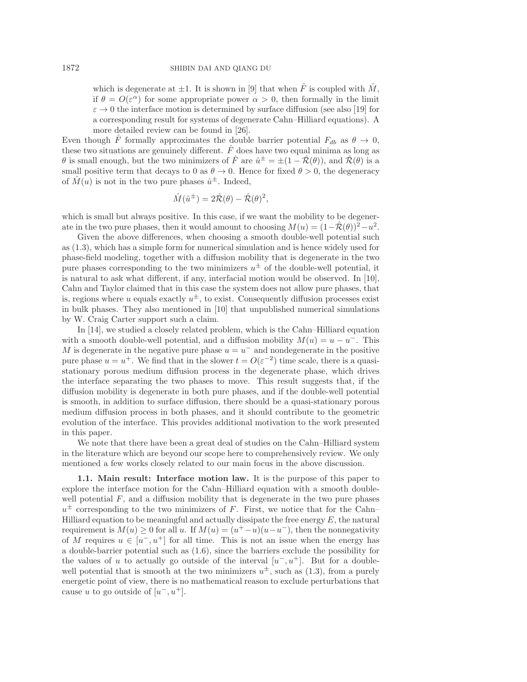which is degenerate at  $\pm 1$ . It is shown in [\[9\]](#page-18-7) that when  $\hat{F}$  is coupled with  $\hat{M}$ , if  $\theta = O(\varepsilon^{\alpha})$  for some appropriate power  $\alpha > 0$ , then formally in the limit  $\varepsilon \to 0$  the interface motion is determined by surface diffusion (see also [\[19\]](#page-18-8) for a corresponding result for systems of degenerate Cahn–Hilliard equations). A more detailed review can be found in [\[26\]](#page-18-9).

Even though F formally approximates the double barrier potential  $F_{db}$  as  $\theta \to 0$ , these two situations are genuinely different.  $\hat{F}$  does have two equal minima as long as  $\theta$  is small enough, but the two minimizers of  $\hat{F}$  are  $\hat{u}^{\pm} = \pm (1 - \hat{\mathcal{R}}(\theta))$ , and  $\hat{\mathcal{R}}(\theta)$  is a small positive term that decays to 0 as  $\theta \to 0$ . Hence for fixed  $\theta > 0$ , the degeneracy of  $\hat{M}(u)$  is not in the two pure phases  $\hat{u}^{\pm}$ . Indeed,

$$
\hat{M}(\hat{u}^{\pm}) = 2\hat{\mathcal{R}}(\theta) - \hat{\mathcal{R}}(\theta)^2,
$$

which is small but always positive. In this case, if we want the mobility to be degenerate in the two pure phases, then it would amount to choosing  $M(u) = (1-\hat{\mathcal{R}}(\theta))^2 - u^2$ .

Given the above differences, when choosing a smooth double-well potential such as [\(1.3\)](#page-0-2), which has a simple form for numerical simulation and is hence widely used for phase-field modeling, together with a diffusion mobility that is degenerate in the two pure phases corresponding to the two minimizers  $u^{\pm}$  of the double-well potential, it is natural to ask what different, if any, interfacial motion would be observed. In [\[10\]](#page-18-6), Cahn and Taylor claimed that in this case the system does not allow pure phases, that is, regions where u equals exactly  $u^{\pm}$ , to exist. Consequently diffusion processes exist in bulk phases. They also mentioned in [\[10\]](#page-18-6) that unpublished numerical simulations by W. Craig Carter support such a claim.

In [\[14\]](#page-18-10), we studied a closely related problem, which is the Cahn–Hilliard equation with a smooth double-well potential, and a diffusion mobility  $M(u) = u - u^-$ . This M is degenerate in the negative pure phase  $u = u^-$  and nondegenerate in the positive pure phase  $u = u^+$ . We find that in the slower  $t = O(\varepsilon^{-2})$  time scale, there is a quasistationary porous medium diffusion process in the degenerate phase, which drives the interface separating the two phases to move. This result suggests that, if the diffusion mobility is degenerate in both pure phases, and if the double-well potential is smooth, in addition to surface diffusion, there should be a quasi-stationary porous medium diffusion process in both phases, and it should contribute to the geometric evolution of the interface. This provides additional motivation to the work presented in this paper.

We note that there have been a great deal of studies on the Cahn–Hilliard system in the literature which are beyond our scope here to comprehensively review. We only mentioned a few works closely related to our main focus in the above discussion.

**1.1. Main result: Interface motion law.** It is the purpose of this paper to explore the interface motion for the Cahn–Hilliard equation with a smooth doublewell potential  $F$ , and a diffusion mobility that is degenerate in the two pure phases  $u^{\pm}$  corresponding to the two minimizers of F. First, we notice that for the Cahn– Hilliard equation to be meaningful and actually dissipate the free energy  $E$ , the natural requirement is  $M(u) \geq 0$  for all u. If  $M(u)=(u^+ - u)(u-u^-)$ , then the nonnegativity of M requires  $u \in [u^-, u^+]$  for all time. This is not an issue when the energy has a double-barrier potential such as [\(1.6\)](#page-1-1), since the barriers exclude the possibility for the values of u to actually go outside of the interval  $[u^-, u^+]$ . But for a doublewell potential that is smooth at the two minimizers  $u^{\pm}$ , such as [\(1.3\)](#page-0-2), from a purely energetic point of view, there is no mathematical reason to exclude perturbations that cause u to go outside of  $[u^-, u^+]$ .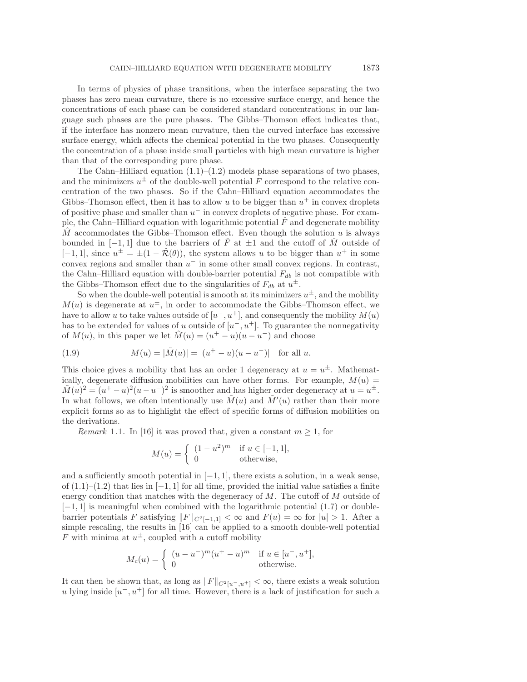In terms of physics of phase transitions, when the interface separating the two phases has zero mean curvature, there is no excessive surface energy, and hence the concentrations of each phase can be considered standard concentrations; in our language such phases are the pure phases. The Gibbs–Thomson effect indicates that, if the interface has nonzero mean curvature, then the curved interface has excessive surface energy, which affects the chemical potential in the two phases. Consequently the concentration of a phase inside small particles with high mean curvature is higher than that of the corresponding pure phase.

The Cahn–Hilliard equation  $(1.1)$ – $(1.2)$  models phase separations of two phases, and the minimizers  $u^{\pm}$  of the double-well potential F correspond to the relative concentration of the two phases. So if the Cahn–Hilliard equation accommodates the Gibbs–Thomson effect, then it has to allow u to be bigger than  $u^+$  in convex droplets of positive phase and smaller than  $u^-$  in convex droplets of negative phase. For example, the Cahn–Hilliard equation with logarithmic potential  $\ddot{F}$  and degenerate mobility  $\hat{M}$  accommodates the Gibbs–Thomson effect. Even though the solution u is always bounded in  $[-1, 1]$  due to the barriers of  $\overline{F}$  at  $\pm 1$  and the cutoff of M outside of  $[-1, 1]$ , since  $u^{\pm} = \pm(1 - \hat{\mathcal{R}}(\theta))$ , the system allows u to be bigger than  $u^+$  in some convex regions and smaller than  $u^-$  in some other small convex regions. In contrast, the Cahn–Hilliard equation with double-barrier potential  $F_{db}$  is not compatible with the Gibbs–Thomson effect due to the singularities of  $F_{db}$  at  $u^{\pm}$ .

So when the double-well potential is smooth at its minimizers  $u^{\pm}$ , and the mobility  $M(u)$  is degenerate at  $u^{\pm}$ , in order to accommodate the Gibbs–Thomson effect, we have to allow u to take values outside of  $[u^-, u^+]$ , and consequently the mobility  $M(u)$ has to be extended for values of u outside of  $[u^-, u^+]$ . To guarantee the nonnegativity of  $M(u)$ , in this paper we let  $\tilde{M}(u)=(u^+ - u)(u - u^-)$  and choose

<span id="page-3-0"></span>(1.9) 
$$
M(u) = |\tilde{M}(u)| = |(u^+ - u)(u - u^-)| \text{ for all } u.
$$

This choice gives a mobility that has an order 1 degeneracy at  $u = u^{\pm}$ . Mathematically, degenerate diffusion mobilities can have other forms. For example,  $M(u)$  =  $\tilde{M}(u)^2 = (u^+ - u)^2(u - u^-)^2$  is smoother and has higher order degeneracy at  $u = u^{\pm}$ . In what follows, we often intentionally use  $\tilde{M}(u)$  and  $\tilde{M}'(u)$  rather than their more explicit forms so as to highlight the effect of specific forms of diffusion mobilities on the derivations.

*Remark* 1.1. In [\[16\]](#page-18-11) it was proved that, given a constant  $m \geq 1$ , for

$$
M(u) = \begin{cases} (1 - u^2)^m & \text{if } u \in [-1, 1], \\ 0 & \text{otherwise,} \end{cases}
$$

and a sufficiently smooth potential in  $[-1, 1]$ , there exists a solution, in a weak sense, of  $(1.1)–(1.2)$  $(1.1)–(1.2)$  $(1.1)–(1.2)$  that lies in  $[-1, 1]$  for all time, provided the initial value satisfies a finite energy condition that matches with the degeneracy of  $M$ . The cutoff of  $M$  outside of [−1, 1] is meaningful when combined with the logarithmic potential [\(1.7\)](#page-1-2) or doublebarrier potentials F satisfying  $||F||_{C^2[-1,1]} < \infty$  and  $F(u) = \infty$  for  $|u| > 1$ . After a simple rescaling, the results in [\[16\]](#page-18-11) can be applied to a smooth double-well potential F with minima at  $u^{\pm}$ , coupled with a cutoff mobility

$$
M_c(u) = \begin{cases} (u - u^{-})^m (u^{+} - u)^m & \text{if } u \in [u^{-}, u^{+}], \\ 0 & \text{otherwise.} \end{cases}
$$

It can then be shown that, as long as  $||F||_{C^2[u^-,u^+]} < \infty$ , there exists a weak solution u lying inside  $[u^-, u^+]$  for all time. However, there is a lack of justification for such a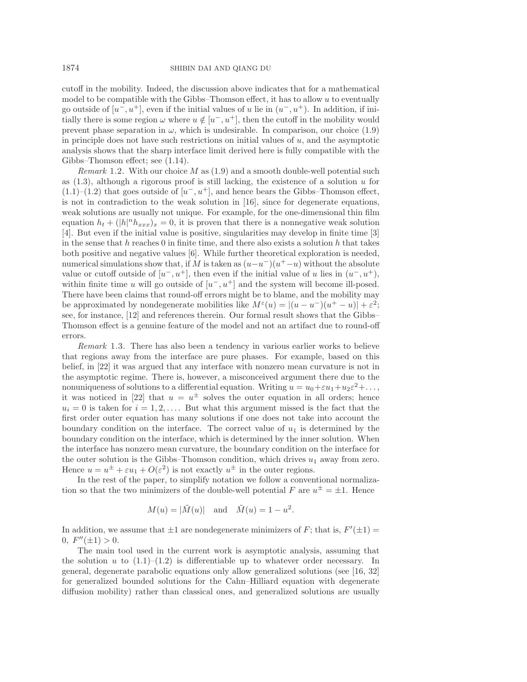cutoff in the mobility. Indeed, the discussion above indicates that for a mathematical model to be compatible with the Gibbs–Thomson effect, it has to allow u to eventually go outside of  $[u^-, u^+]$ , even if the initial values of u lie in  $(u^-, u^+)$ . In addition, if initially there is some region  $\omega$  where  $u \notin [u^-, u^+]$ , then the cutoff in the mobility would prevent phase separation in  $\omega$ , which is undesirable. In comparison, our choice [\(1.9\)](#page-3-0) in principle does not have such restrictions on initial values of  $u$ , and the asymptotic analysis shows that the sharp interface limit derived here is fully compatible with the Gibbs–Thomson effect; see [\(1.14\)](#page-5-0).

*Remark* 1.2. With our choice M as [\(1.9\)](#page-3-0) and a smooth double-well potential such as  $(1.3)$ , although a rigorous proof is still lacking, the existence of a solution u for  $(1.1)$ – $(1.2)$  that goes outside of  $[u^-, u^+]$ , and hence bears the Gibbs–Thomson effect, is not in contradiction to the weak solution in [\[16\]](#page-18-11), since for degenerate equations, weak solutions are usually not unique. For example, for the one-dimensional thin film equation  $h_t + (|h|^n h_{xxx})_x = 0$ , it is proven that there is a nonnegative weak solution [\[4\]](#page-18-12). But even if the initial value is positive, singularities may develop in finite time [\[3\]](#page-18-13) in the sense that  $h$  reaches 0 in finite time, and there also exists a solution  $h$  that takes both positive and negative values [\[6\]](#page-18-14). While further theoretical exploration is needed, numerical simulations show that, if M is taken as  $(u-u^-)(u^+-u)$  without the absolute value or cutoff outside of  $[u^-, u^+]$ , then even if the initial value of u lies in  $(u^-, u^+)$ , within finite time u will go outside of  $[u^-, u^+]$  and the system will become ill-posed. There have been claims that round-off errors might be to blame, and the mobility may be approximated by nondegenerate mobilities like  $M^{\varepsilon}(u) = |(u - u^{-})(u^{+} - u)| + \varepsilon^{2};$ see, for instance, [\[12\]](#page-18-1) and references therein. Our formal result shows that the Gibbs– Thomson effect is a genuine feature of the model and not an artifact due to round-off errors.

*Remark* 1.3. There has also been a tendency in various earlier works to believe that regions away from the interface are pure phases. For example, based on this belief, in [\[22\]](#page-18-15) it was argued that any interface with nonzero mean curvature is not in the asymptotic regime. There is, however, a misconceived argument there due to the nonuniqueness of solutions to a differential equation. Writing  $u = u_0 + \varepsilon u_1 + u_2 \varepsilon^2 + \dots$ , it was noticed in [\[22\]](#page-18-15) that  $u = u^{\pm}$  solves the outer equation in all orders; hence  $u_i = 0$  is taken for  $i = 1, 2, \ldots$ . But what this argument missed is the fact that the first order outer equation has many solutions if one does not take into account the boundary condition on the interface. The correct value of  $u_1$  is determined by the boundary condition on the interface, which is determined by the inner solution. When the interface has nonzero mean curvature, the boundary condition on the interface for the outer solution is the Gibbs–Thomson condition, which drives  $u_1$  away from zero. Hence  $u = u^{\pm} + \varepsilon u_1 + O(\varepsilon^2)$  is not exactly  $u^{\pm}$  in the outer regions.

In the rest of the paper, to simplify notation we follow a conventional normalization so that the two minimizers of the double-well potential F are  $u^{\pm} = \pm 1$ . Hence

$$
M(u) = |\tilde{M}(u)|
$$
 and  $\tilde{M}(u) = 1 - u^2$ .

In addition, we assume that  $\pm 1$  are nondegenerate minimizers of F; that is,  $F'(\pm 1) =$  $0, F''(\pm 1) > 0.$ 

The main tool used in the current work is asymptotic analysis, assuming that the solution u to  $(1.1)$ – $(1.2)$  is differentiable up to whatever order necessary. In general, degenerate parabolic equations only allow generalized solutions (see [\[16,](#page-18-11) [32\]](#page-19-2) for generalized bounded solutions for the Cahn–Hilliard equation with degenerate diffusion mobility) rather than classical ones, and generalized solutions are usually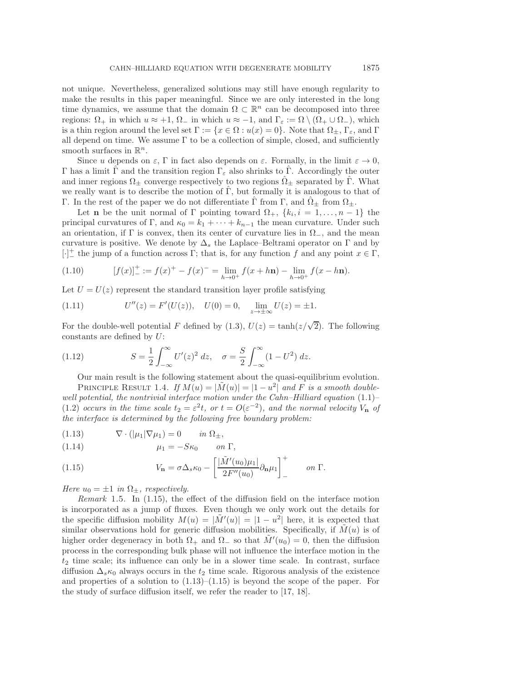not unique. Nevertheless, generalized solutions may still have enough regularity to make the results in this paper meaningful. Since we are only interested in the long time dynamics, we assume that the domain  $\Omega \subset \mathbb{R}^n$  can be decomposed into three regions:  $\Omega_+$  in which  $u \approx +1$ ,  $\Omega_-$  in which  $u \approx -1$ , and  $\Gamma_{\varepsilon} := \Omega \setminus (\Omega_+ \cup \Omega_-)$ , which is a thin region around the level set  $\Gamma := \{x \in \Omega : u(x) = 0\}$ . Note that  $\Omega_{\pm}$ ,  $\Gamma_{\varepsilon}$ , and  $\Gamma$ all depend on time. We assume  $\Gamma$  to be a collection of simple, closed, and sufficiently smooth surfaces in  $\mathbb{R}^n$ .

Since u depends on  $\varepsilon$ , Γ in fact also depends on  $\varepsilon$ . Formally, in the limit  $\varepsilon \to 0$ , Γ has a limit Γ and the transition region  $\Gamma_{\varepsilon}$  also shrinks to Γ. Accordingly the outer and inner regions  $\Omega_{\pm}$  converge respectively to two regions  $\Omega_{\pm}$  separated by  $\Gamma$ . What we really want is to describe the motion of  $\hat{\Gamma}$ , but formally it is analogous to that of Γ. In the rest of the paper we do not differentiate  $\Gamma$  from  $\Gamma$ , and  $\Omega_{\pm}$  from  $\Omega_{\pm}$ .

Let **n** be the unit normal of Γ pointing toward  $\Omega_+$ ,  $\{k_i, i = 1, \ldots, n-1\}$  the principal curvatures of Γ, and  $\kappa_0 = k_1 + \cdots + k_{n-1}$  the mean curvature. Under such an orientation, if  $\Gamma$  is convex, then its center of curvature lies in  $\Omega_{-}$ , and the mean curvature is positive. We denote by  $\Delta_s$  the Laplace–Beltrami operator on  $\Gamma$  and by  $[\cdot]^{\perp}$  the jump of a function across  $\Gamma$ ; that is, for any function f and any point  $x \in \Gamma$ ,

(1.10) 
$$
[f(x)]_{-}^{+} := f(x)^{+} - f(x)^{-} = \lim_{h \to 0^{+}} f(x + h\mathbf{n}) - \lim_{h \to 0^{+}} f(x - h\mathbf{n}).
$$

Let  $U = U(z)$  represent the standard transition layer profile satisfying

<span id="page-5-3"></span>(1.11) 
$$
U''(z) = F'(U(z)), \quad U(0) = 0, \quad \lim_{z \to \pm \infty} U(z) = \pm 1.
$$

For the double-well potential F defined by [\(1.3\)](#page-0-2),  $U(z) = \tanh(z/\sqrt{2})$ . The following constants are defined by U:

<span id="page-5-4"></span>(1.12) 
$$
S = \frac{1}{2} \int_{-\infty}^{\infty} U'(z)^2 dz, \quad \sigma = \frac{S}{2} \int_{-\infty}^{\infty} (1 - U^2) dz.
$$

Our main result is the following statement about the quasi-equilibrium evolution. PRINCIPLE RESULT 1.4. If  $M(u) = |\tilde{M}(u)| = |1 - u^2|$  and F is a smooth double*well potential, the nontrivial interface motion under the Cahn–Hilliard equation* [\(1.1\)](#page-0-0)– [\(1.2\)](#page-0-1) *occurs in the time scale*  $t_2 = \varepsilon^2 t$ *, or*  $t = O(\varepsilon^{-2})$ *, and the normal velocity*  $V_{\bf n}$  *of the interface is determined by the following free boundary problem:*

<span id="page-5-2"></span>(1.13) 
$$
\nabla \cdot (|\mu_1| \nabla \mu_1) = 0 \quad in \ \Omega_{\pm},
$$

<span id="page-5-0"></span>(1.14) 
$$
\mu_1 = -S\kappa_0 \qquad on \ \Gamma,
$$

<span id="page-5-1"></span>(1.15) 
$$
V_{\mathbf{n}} = \sigma \Delta_s \kappa_0 - \left[ \frac{|\tilde{M}'(u_0)\mu_1|}{2F''(u_0)} \partial_{\mathbf{n}} \mu_1 \right]_+^+ \quad on \ \Gamma.
$$

*Here*  $u_0 = \pm 1$  *in*  $\Omega_{\pm}$ *, respectively.* 

*Remark* 1.5. In [\(1.15\)](#page-5-1), the effect of the diffusion field on the interface motion is incorporated as a jump of fluxes. Even though we only work out the details for the specific diffusion mobility  $M(u) = |\tilde{M}'(u)| = |1 - u^2|$  here, it is expected that similar observations hold for generic diffusion mobilities. Specifically, if  $\tilde{M}(u)$  is of higher order degeneracy in both  $\Omega_+$  and  $\Omega_-$  so that  $\tilde{M}'(u_0) = 0$ , then the diffusion process in the corresponding bulk phase will not influence the interface motion in the  $t_2$  time scale; its influence can only be in a slower time scale. In contrast, surface diffusion  $\Delta_s \kappa_0$  always occurs in the  $t_2$  time scale. Rigorous analysis of the existence and properties of a solution to  $(1.13)$ – $(1.15)$  is beyond the scope of the paper. For the study of surface diffusion itself, we refer the reader to [\[17,](#page-18-16) [18\]](#page-18-17).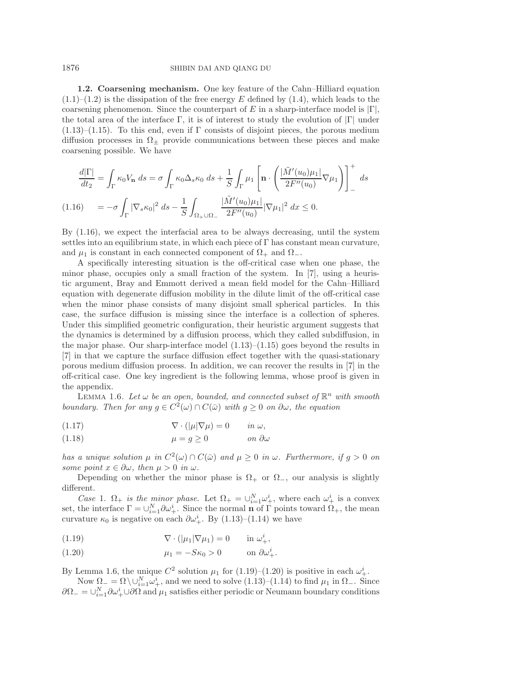## 1876 SHIBIN DAI AND QIANG DU

**1.2. Coarsening mechanism.** One key feature of the Cahn–Hilliard equation  $(1.1)$ – $(1.2)$  is the dissipation of the free energy E defined by  $(1.4)$ , which leads to the coarsening phenomenon. Since the counterpart of E in a sharp-interface model is  $|\Gamma|$ , the total area of the interface  $\Gamma$ , it is of interest to study the evolution of  $|\Gamma|$  under  $(1.13)$ – $(1.15)$ . To this end, even if Γ consists of disjoint pieces, the porous medium diffusion processes in  $\Omega_{+}$  provide communications between these pieces and make coarsening possible. We have

$$
\frac{d|\Gamma|}{dt_2} = \int_{\Gamma} \kappa_0 V_\mathbf{n} ds = \sigma \int_{\Gamma} \kappa_0 \Delta_s \kappa_0 ds + \frac{1}{S} \int_{\Gamma} \mu_1 \left[ \mathbf{n} \cdot \left( \frac{|\tilde{M}'(u_0)\mu_1|}{2F''(u_0)} \nabla \mu_1 \right) \right]_+^{\Gamma} ds
$$
\n
$$
(1.16) \qquad = -\sigma \int_{\Gamma} |\nabla_s \kappa_0|^2 ds - \frac{1}{S} \int_{\Omega_+ \cup \Omega_-} \frac{|\tilde{M}'(u_0)\mu_1|}{2F''(u_0)} |\nabla \mu_1|^2 dx \le 0.
$$

<span id="page-6-0"></span>By [\(1.16\)](#page-6-0), we expect the interfacial area to be always decreasing, until the system settles into an equilibrium state, in which each piece of  $\Gamma$  has constant mean curvature, and  $\mu_1$  is constant in each connected component of  $\Omega_+$  and  $\Omega_-$ .

A specifically interesting situation is the off-critical case when one phase, the minor phase, occupies only a small fraction of the system. In [\[7\]](#page-18-18), using a heuristic argument, Bray and Emmott derived a mean field model for the Cahn–Hilliard equation with degenerate diffusion mobility in the dilute limit of the off-critical case when the minor phase consists of many disjoint small spherical particles. In this case, the surface diffusion is missing since the interface is a collection of spheres. Under this simplified geometric configuration, their heuristic argument suggests that the dynamics is determined by a diffusion process, which they called subdiffusion, in the major phase. Our sharp-interface model  $(1.13)$ – $(1.15)$  goes beyond the results in [\[7\]](#page-18-18) in that we capture the surface diffusion effect together with the quasi-stationary porous medium diffusion process. In addition, we can recover the results in [\[7\]](#page-18-18) in the off-critical case. One key ingredient is the following lemma, whose proof is given in the appendix.

<span id="page-6-1"></span>LEMMA 1.6. Let  $\omega$  be an open, bounded, and connected subset of  $\mathbb{R}^n$  with smooth *boundary. Then for any*  $g \in C^2(\omega) \cap C(\bar{\omega})$  *with*  $g \geq 0$  *on*  $\partial \omega$ *, the equation* 

<span id="page-6-4"></span>(1.17) 
$$
\nabla \cdot (|\mu| \nabla \mu) = 0 \quad in \omega,
$$

<span id="page-6-5"></span>(1.18) 
$$
\mu = g \ge 0 \qquad \text{on } \partial \omega
$$

*has a unique solution*  $\mu$  *in*  $C^2(\omega) \cap C(\bar{\omega})$  *and*  $\mu \geq 0$  *in*  $\omega$ *. Furthermore, if*  $g > 0$  *on some point*  $x \in \partial \omega$ *, then*  $\mu > 0$  *in*  $\omega$ *.* 

Depending on whether the minor phase is  $\Omega_+$  or  $\Omega_-,$  our analysis is slightly different.

*Case* 1.  $\Omega_+$  *is the minor phase.* Let  $\Omega_+ = \bigcup_{i=1}^N \omega_+^i$ , where each  $\omega_+^i$  is a convex set, the interface  $\Gamma = \bigcup_{i=1}^{N} \partial \omega_+^i$ . Since the normal **n** of  $\Gamma$  points toward  $\Omega_+$ , the mean curvature  $\kappa_0$  is negative on each  $\partial \omega_+^i$ . By [\(1.13\)](#page-5-2)–[\(1.14\)](#page-5-0) we have

- <span id="page-6-2"></span>(1.19)  $\nabla \cdot (|\mu_1| \nabla \mu_1) = 0$  in  $\omega_+^i$ ,
- <span id="page-6-3"></span>(1.20)  $\mu_1 = -S\kappa_0 > 0$  on  $\partial \omega_+^i$ .

By Lemma [1.6,](#page-6-1) the unique  $C^2$  solution  $\mu_1$  for  $(1.19)$ – $(1.20)$  is positive in each  $\omega_+^i$ .

Now  $\Omega_{-} = \Omega \setminus \cup_{i=1}^{N} \omega_{+}^{i}$ , and we need to solve  $(1.13)-(1.14)$  $(1.13)-(1.14)$  $(1.13)-(1.14)$  to find  $\mu_1$  in  $\Omega_{-}$ . Since  $\partial\Omega_-=\cup_{i=1}^N\partial\omega_+^i\cup\partial\Omega$  and  $\mu_1$  satisfies either periodic or Neumann boundary conditions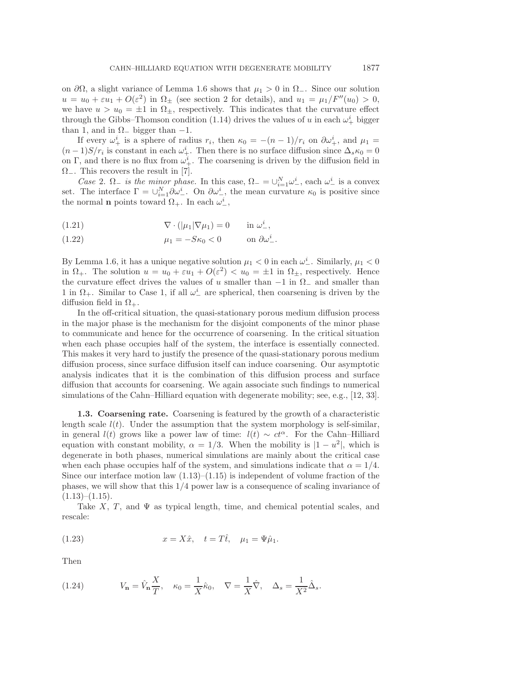on  $\partial\Omega$ , a slight variance of Lemma [1.6](#page-6-1) shows that  $\mu_1 > 0$  in  $\Omega_-\$ . Since our solution  $u = u_0 + \varepsilon u_1 + O(\varepsilon^2)$  in  $\Omega_{\pm}$  (see section [2](#page-8-0) for details), and  $u_1 = \mu_1/F''(u_0) > 0$ , we have  $u>u_0 = \pm 1$  in  $\Omega_{\pm}$ , respectively. This indicates that the curvature effect through the Gibbs–Thomson condition [\(1.14\)](#page-5-0) drives the values of u in each  $\omega_+^i$  bigger than 1, and in  $\Omega$ <sub>−</sub> bigger than −1.

If every  $\omega^i_+$  is a sphere of radius  $r_i$ , then  $\kappa_0 = -(n-1)/r_i$  on  $\partial \omega^i_+$ , and  $\mu_1 =$  $(n-1)S/r_i$  is constant in each  $\omega^i_+$ . Then there is no surface diffusion since  $\Delta_s \kappa_0 = 0$ on Γ, and there is no flux from  $\omega_+^i$ . The coarsening is driven by the diffusion field in  $\Omega_{-}$ . This recovers the result in [\[7\]](#page-18-18).

*Case* 2.  $\Omega_{-}$  *is the minor phase.* In this case,  $\Omega_{-} = \bigcup_{i=1}^{N} \omega_{-}^{i}$ , each  $\omega_{-}^{i}$  is a convex set. The interface  $\Gamma = \bigcup_{i=1}^{N} \partial \omega_{-}^{i}$ . On  $\partial \omega_{-}^{i}$ , the mean curvature  $\kappa_0$  is positive since the normal **n** points toward  $\Omega_+$ . In each  $\omega_-^i$ ,

(1.21) 
$$
\nabla \cdot (|\mu_1| \nabla \mu_1) = 0 \quad \text{in } \omega_-^i,
$$

(1.22) 
$$
\mu_1 = -S\kappa_0 < 0 \quad \text{on } \partial \omega_-^i.
$$

By Lemma [1.6,](#page-6-1) it has a unique negative solution  $\mu_1 < 0$  in each  $\omega^i$ . Similarly,  $\mu_1 < 0$ in  $\Omega_+$ . The solution  $u = u_0 + \varepsilon u_1 + O(\varepsilon^2) < u_0 = \pm 1$  in  $\Omega_+$ , respectively. Hence the curvature effect drives the values of u smaller than  $-1$  in  $\Omega_{-}$  and smaller than  $1$  in  $\Omega_+$ . Similar to Case 1, if all  $\omega_-^i$  are spherical, then coarsening is driven by the diffusion field in  $\Omega_{+}$ .

In the off-critical situation, the quasi-stationary porous medium diffusion process in the major phase is the mechanism for the disjoint components of the minor phase to communicate and hence for the occurrence of coarsening. In the critical situation when each phase occupies half of the system, the interface is essentially connected. This makes it very hard to justify the presence of the quasi-stationary porous medium diffusion process, since surface diffusion itself can induce coarsening. Our asymptotic analysis indicates that it is the combination of this diffusion process and surface diffusion that accounts for coarsening. We again associate such findings to numerical simulations of the Cahn–Hilliard equation with degenerate mobility; see, e.g., [\[12,](#page-18-1) [33\]](#page-19-0).

**1.3. Coarsening rate.** Coarsening is featured by the growth of a characteristic length scale  $l(t)$ . Under the assumption that the system morphology is self-similar, in general  $l(t)$  grows like a power law of time:  $l(t) \sim ct^{\alpha}$ . For the Cahn–Hilliard equation with constant mobility,  $\alpha = 1/3$ . When the mobility is  $|1 - u^2|$ , which is degenerate in both phases, numerical simulations are mainly about the critical case when each phase occupies half of the system, and simulations indicate that  $\alpha = 1/4$ . Since our interface motion law  $(1.13)$ – $(1.15)$  is independent of volume fraction of the phases, we will show that this  $1/4$  power law is a consequence of scaling invariance of  $(1.13)$ – $(1.15)$ .

Take  $X$ , T, and  $\Psi$  as typical length, time, and chemical potential scales, and rescale:

<span id="page-7-0"></span>(1.23) 
$$
x = X\hat{x}, \quad t = T\hat{t}, \quad \mu_1 = \Psi\hat{\mu}_1.
$$

Then

<span id="page-7-1"></span>(1.24) 
$$
V_{\mathbf{n}} = \hat{V}_{\mathbf{n}} \frac{X}{T}, \quad \kappa_0 = \frac{1}{X} \hat{\kappa}_0, \quad \nabla = \frac{1}{X} \hat{\nabla}, \quad \Delta_s = \frac{1}{X^2} \hat{\Delta}_s.
$$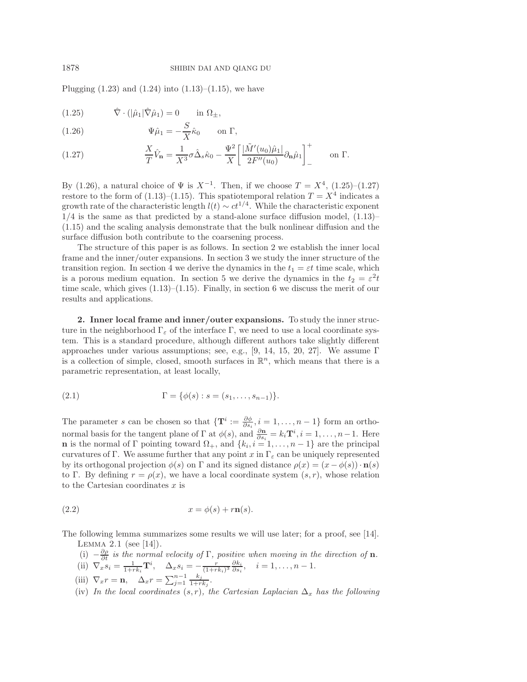Plugging  $(1.23)$  and  $(1.24)$  into  $(1.13)$ – $(1.15)$ , we have

<span id="page-8-2"></span>(1.25) 
$$
\hat{\nabla} \cdot (|\hat{\mu}_1| \hat{\nabla} \hat{\mu}_1) = 0 \quad \text{in } \Omega_{\pm},
$$

<span id="page-8-1"></span>(1.26) 
$$
\Psi \hat{\mu}_1 = -\frac{S}{X} \hat{\kappa}_0 \quad \text{on } \Gamma,
$$

<span id="page-8-3"></span>(1.27) 
$$
\frac{X}{T}\hat{V}_{\mathbf{n}} = \frac{1}{X^3}\sigma\hat{\Delta}_s\hat{\kappa}_0 - \frac{\Psi^2}{X}\left[\frac{|\tilde{M}'(u_0)\hat{\mu}_1|}{2F''(u_0)}\partial_{\mathbf{n}}\hat{\mu}_1\right]_-\^{\dagger} \quad \text{on } \Gamma.
$$

By [\(1.26\)](#page-8-1), a natural choice of  $\Psi$  is  $X^{-1}$ . Then, if we choose  $T = X^4$ , [\(1.25\)](#page-8-2)–[\(1.27\)](#page-8-3) restore to the form of [\(1.13\)](#page-5-2)–[\(1.15\)](#page-5-1). This spatiotemporal relation  $T = X^4$  indicates a growth rate of the characteristic length  $l(t) \sim ct^{1/4}$ . While the characteristic exponent  $1/4$  is the same as that predicted by a stand-alone surface diffusion model,  $(1.13)$ – [\(1.15\)](#page-5-1) and the scaling analysis demonstrate that the bulk nonlinear diffusion and the surface diffusion both contribute to the coarsening process.

The structure of this paper is as follows. In section [2](#page-8-0) we establish the inner local frame and the inner/outer expansions. In section [3](#page-12-0) we study the inner structure of the transition region. In section [4](#page-14-0) we derive the dynamics in the  $t_1 = \varepsilon t$  time scale, which is a porous medium equation. In section [5](#page-15-0) we derive the dynamics in the  $t_2 = \varepsilon^2 t$ time scale, which gives  $(1.13)$ – $(1.15)$ . Finally, in section [6](#page-16-0) we discuss the merit of our results and applications.

<span id="page-8-0"></span>**2. Inner local frame and inner/outer expansions.** To study the inner structure in the neighborhood  $\Gamma_{\varepsilon}$  of the interface  $\Gamma$ , we need to use a local coordinate system. This is a standard procedure, although different authors take slightly different approaches under various assumptions; see, e.g., [\[9,](#page-18-7) [14,](#page-18-10) [15,](#page-18-19) [20,](#page-18-20) [27\]](#page-18-4). We assume  $\Gamma$ is a collection of simple, closed, smooth surfaces in  $\mathbb{R}^n$ , which means that there is a parametric representation, at least locally,

(2.1) 
$$
\Gamma = \{ \phi(s) : s = (s_1, \dots, s_{n-1}) \}.
$$

The parameter s can be chosen so that  ${\bf T}^i := \frac{\partial \phi}{\partial s_i}, i = 1, \ldots, n-1$  form an orthonormal basis for the tangent plane of  $\Gamma$  at  $\phi(s)$ , and  $\frac{\partial \mathbf{n}}{\partial s_i} = k_i \mathbf{T}^i, i = 1, \ldots, n-1$ . Here **n** is the normal of Γ pointing toward  $\Omega_+$ , and  $\{k_i, i = 1, \ldots, n-1\}$  are the principal curvatures of Γ. We assume further that any point x in  $\Gamma_{\varepsilon}$  can be uniquely represented by its orthogonal projection  $\phi(s)$  on  $\Gamma$  and its signed distance  $\rho(x)=(x - \phi(s))\cdot \mathbf{n}(s)$ to Γ. By defining  $r = \rho(x)$ , we have a local coordinate system  $(s, r)$ , whose relation to the Cartesian coordinates  $x$  is

$$
(2.2) \t\t x = \phi(s) + r\mathbf{n}(s).
$$

The following lemma summarizes some results we will use later; for a proof, see [\[14\]](#page-18-10). LEMMA  $2.1$  (see [\[14\]](#page-18-10)).

(i)  $-\frac{\partial \rho}{\partial t}$  *is the normal velocity of*  $\Gamma$ *, positive when moving in the direction of* **n***.* (i)  $\nabla$  *s –*  $\frac{1}{\sqrt{2}}\mathbf{T}^i$   $\Delta$  *s –*  $\frac{1}{\sqrt{2}}\mathbf{T}^i$   $\Delta$  *s –*  $\frac{1}{\sqrt{2}}\frac{\partial k_i}{\partial t}$  *i* – 1 *n* 

(ii) 
$$
\nabla_x s_i = \frac{1}{1 + rk_i} \mathbf{T}^i, \quad \Delta_x s_i = -\frac{r}{(1 + rk_i)^3} \frac{\partial k_i}{\partial s_i}, \quad i = 1, \dots, n-1.
$$

- (iii)  $\nabla_x r = \mathbf{n}, \quad \Delta_x r = \sum_{j=1}^{n-1} \frac{k_j}{1+rk_j}.$
- (iv) In the local coordinates  $(s, r)$ , the Cartesian Laplacian  $\Delta_x$  has the following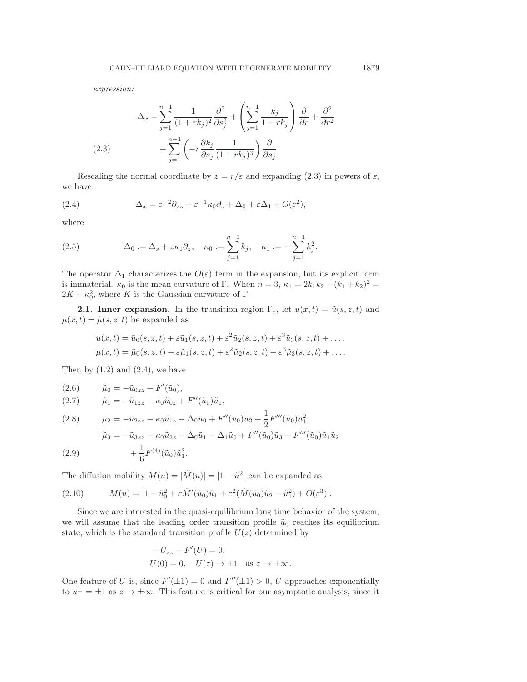*expression:*

<span id="page-9-0"></span>
$$
\Delta_x = \sum_{j=1}^{n-1} \frac{1}{(1+rk_j)^2} \frac{\partial^2}{\partial s_j^2} + \left(\sum_{j=1}^{n-1} \frac{k_j}{1+rk_j}\right) \frac{\partial}{\partial r} + \frac{\partial^2}{\partial r^2}
$$
\n
$$
(2.3) \qquad \qquad + \sum_{j=1}^{n-1} \left(-r \frac{\partial k_j}{\partial s_j} \frac{1}{(1+rk_j)^3}\right) \frac{\partial}{\partial s_j}.
$$

Rescaling the normal coordinate by  $z = r/\varepsilon$  and expanding [\(2.3\)](#page-9-0) in powers of  $\varepsilon$ , we have

<span id="page-9-1"></span>(2.4) 
$$
\Delta_x = \varepsilon^{-2} \partial_{zz} + \varepsilon^{-1} \kappa_0 \partial_z + \Delta_0 + \varepsilon \Delta_1 + O(\varepsilon^2),
$$

where

(2.5) 
$$
\Delta_0 := \Delta_s + z \kappa_1 \partial_z, \quad \kappa_0 := \sum_{j=1}^{n-1} k_j, \quad \kappa_1 := -\sum_{j=1}^{n-1} k_j^2.
$$

The operator  $\Delta_1$  characterizes the  $O(\varepsilon)$  term in the expansion, but its explicit form is immaterial.  $\kappa_0$  is the mean curvature of Γ. When  $n = 3$ ,  $\kappa_1 = 2k_1k_2 - (k_1 + k_2)^2 =$  $2K - \kappa_0^2$ , where K is the Gaussian curvature of  $\Gamma$ .

**2.1. Inner expansion.** In the transition region  $\Gamma_{\varepsilon}$ , let  $u(x,t)=\tilde{u}(s, z, t)$  and  $\mu(x, t) = \tilde{\mu}(s, z, t)$  be expanded as

$$
u(x,t) = \tilde{u}_0(s, z, t) + \varepsilon \tilde{u}_1(s, z, t) + \varepsilon^2 \tilde{u}_2(s, z, t) + \varepsilon^3 \tilde{u}_3(s, z, t) + \dots,
$$
  

$$
\mu(x,t) = \tilde{\mu}_0(s, z, t) + \varepsilon \tilde{\mu}_1(s, z, t) + \varepsilon^2 \tilde{\mu}_2(s, z, t) + \varepsilon^3 \tilde{\mu}_3(s, z, t) + \dots.
$$

Then by  $(1.2)$  and  $(2.4)$ , we have

(2.6) 
$$
\tilde{\mu}_0 = -\tilde{u}_{0zz} + F'(\tilde{u}_0),
$$

<span id="page-9-2"></span>(2.7) 
$$
\tilde{\mu}_1 = -\tilde{u}_{1zz} - \kappa_0 \tilde{u}_{0z} + F''(\tilde{u}_0)\tilde{u}_1,
$$

(2.8) 
$$
\tilde{\mu}_2 = -\tilde{u}_{2zz} - \kappa_0 \tilde{u}_{1z} - \Delta_0 \tilde{u}_0 + F''(\tilde{u}_0)\tilde{u}_2 + \frac{1}{2}F'''(\tilde{u}_0)\tilde{u}_1^2,
$$

$$
\tilde{\mu}_3 = -\tilde{u}_{3zz} - \kappa_0 \tilde{u}_{2z} - \Delta_0 \tilde{u}_1 - \Delta_1 \tilde{u}_0 + F''(\tilde{u}_0)\tilde{u}_3 + F'''(\tilde{u}_0)\tilde{u}_1 \tilde{u}_2
$$
(2.0)

(2.9) 
$$
+\frac{1}{6}F^{(4)}(\tilde{u}_0)\tilde{u}_1^3.
$$

The diffusion mobility  $M(u) = |\tilde{M}(u)| = |1 - \tilde{u}^2|$  can be expanded as

(2.10) 
$$
M(u) = |1 - \tilde{u}_0^2 + \varepsilon \tilde{M}'(\tilde{u}_0)\tilde{u}_1 + \varepsilon^2 (\tilde{M}(\tilde{u}_0)\tilde{u}_2 - \tilde{u}_1^2) + O(\varepsilon^3)|.
$$

Since we are interested in the quasi-equilibrium long time behavior of the system, we will assume that the leading order transition profile  $\tilde{u}_0$  reaches its equilibrium state, which is the standard transition profile  $U(z)$  determined by

$$
-U_{zz} + F'(U) = 0,
$$
  
 
$$
U(0) = 0, \quad U(z) \to \pm 1 \quad \text{as } z \to \pm \infty.
$$

One feature of U is, since  $F'(\pm 1) = 0$  and  $F''(\pm 1) > 0$ , U approaches exponentially to  $u^{\pm} = \pm 1$  as  $z \to \pm \infty$ . This feature is critical for our asymptotic analysis, since it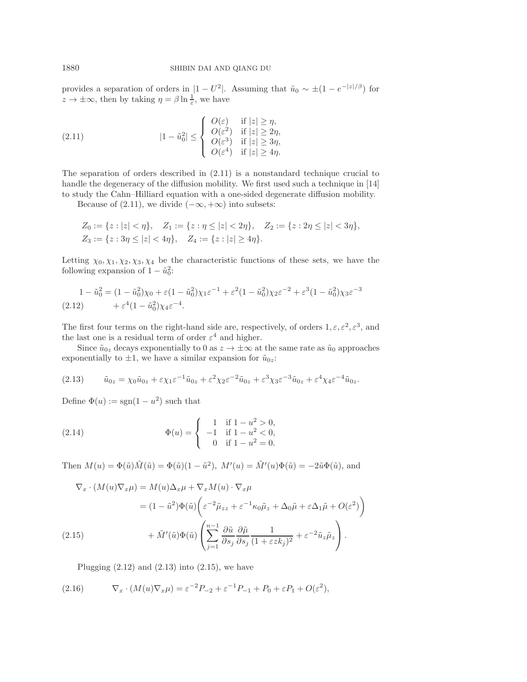provides a separation of orders in  $|1 - U^2|$ . Assuming that  $\tilde{u}_0 \sim \pm (1 - e^{-|z|/\beta})$  for  $z \to \pm \infty$ , then by taking  $\eta = \beta \ln \frac{1}{\epsilon}$ , we have

<span id="page-10-0"></span>(2.11) 
$$
|1 - \tilde{u}_0^2| \leq \begin{cases} O(\varepsilon) & \text{if } |z| \geq \eta, \\ O(\varepsilon^2) & \text{if } |z| \geq 2\eta, \\ O(\varepsilon^3) & \text{if } |z| \geq 3\eta, \\ O(\varepsilon^4) & \text{if } |z| \geq 4\eta. \end{cases}
$$

The separation of orders described in [\(2.11\)](#page-10-0) is a nonstandard technique crucial to handle the degeneracy of the diffusion mobility. We first used such a technique in [\[14\]](#page-18-10) to study the Cahn–Hilliard equation with a one-sided degenerate diffusion mobility.

Because of [\(2.11\)](#page-10-0), we divide  $(-\infty, +\infty)$  into subsets:

$$
Z_0 := \{ z : |z| < \eta \}, \quad Z_1 := \{ z : \eta \le |z| < 2\eta \}, \quad Z_2 := \{ z : 2\eta \le |z| < 3\eta \},
$$
\n
$$
Z_3 := \{ z : 3\eta \le |z| < 4\eta \}, \quad Z_4 := \{ z : |z| \ge 4\eta \}.
$$

Letting  $\chi_0, \chi_1, \chi_2, \chi_3, \chi_4$  be the characteristic functions of these sets, we have the following expansion of  $1 - \tilde{u}_0^2$ :

<span id="page-10-1"></span>
$$
1 - \tilde{u}_0^2 = (1 - \tilde{u}_0^2)\chi_0 + \varepsilon(1 - \tilde{u}_0^2)\chi_1\varepsilon^{-1} + \varepsilon^2(1 - \tilde{u}_0^2)\chi_2\varepsilon^{-2} + \varepsilon^3(1 - \tilde{u}_0^2)\chi_3\varepsilon^{-3}
$$
  
(2.12) 
$$
+ \varepsilon^4(1 - \tilde{u}_0^2)\chi_4\varepsilon^{-4}.
$$

The first four terms on the right-hand side are, respectively, of orders  $1, \varepsilon, \varepsilon^2, \varepsilon^3$ , and the last one is a residual term of order  $\varepsilon^4$  and higher.

Since  $\tilde{u}_{0z}$  decays exponentially to 0 as  $z \to \pm \infty$  at the same rate as  $\tilde{u}_0$  approaches exponentially to  $\pm 1$ , we have a similar expansion for  $\tilde{u}_{0z}$ :

<span id="page-10-2"></span>
$$
(2.13) \qquad \tilde{u}_{0z} = \chi_0 \tilde{u}_{0z} + \varepsilon \chi_1 \varepsilon^{-1} \tilde{u}_{0z} + \varepsilon^2 \chi_2 \varepsilon^{-2} \tilde{u}_{0z} + \varepsilon^3 \chi_3 \varepsilon^{-3} \tilde{u}_{0z} + \varepsilon^4 \chi_4 \varepsilon^{-4} \tilde{u}_{0z}.
$$

Define  $\Phi(u) := \text{sgn}(1 - u^2)$  such that

(2.14) 
$$
\Phi(u) = \begin{cases} 1 & \text{if } 1 - u^2 > 0, \\ -1 & \text{if } 1 - u^2 < 0, \\ 0 & \text{if } 1 - u^2 = 0. \end{cases}
$$

Then  $M(u) = \Phi(\tilde{u})\tilde{M}(\tilde{u}) = \Phi(\tilde{u})(1 - \tilde{u}^2)$ ,  $M'(u) = \tilde{M}'(u)\Phi(\tilde{u}) = -2\tilde{u}\Phi(\tilde{u})$ , and

$$
\nabla_x \cdot (M(u)\nabla_x \mu) = M(u)\Delta_x \mu + \nabla_x M(u) \cdot \nabla_x \mu
$$
  
=  $(1 - \tilde{u}^2)\Phi(\tilde{u}) \bigg(\varepsilon^{-2}\tilde{\mu}_{zz} + \varepsilon^{-1}\kappa_0\tilde{\mu}_z + \Delta_0\tilde{\mu} + \varepsilon\Delta_1\tilde{\mu} + O(\varepsilon^2)\bigg)$   

$$
+ \tilde{M}'(\tilde{u})\Phi(\tilde{u}) \left(\sum_{j=1}^{n-1} \frac{\partial \tilde{u}}{\partial s_j} \frac{\partial \tilde{\mu}}{\partial s_j} \frac{1}{(1 + \varepsilon z k_j)^2} + \varepsilon^{-2}\tilde{u}_z\tilde{\mu}_z\right).
$$

<span id="page-10-3"></span>Plugging  $(2.12)$  and  $(2.13)$  into  $(2.15)$ , we have

<span id="page-10-4"></span>(2.16) 
$$
\nabla_x \cdot (M(u)\nabla_x \mu) = \varepsilon^{-2} P_{-2} + \varepsilon^{-1} P_{-1} + P_0 + \varepsilon P_1 + O(\varepsilon^2),
$$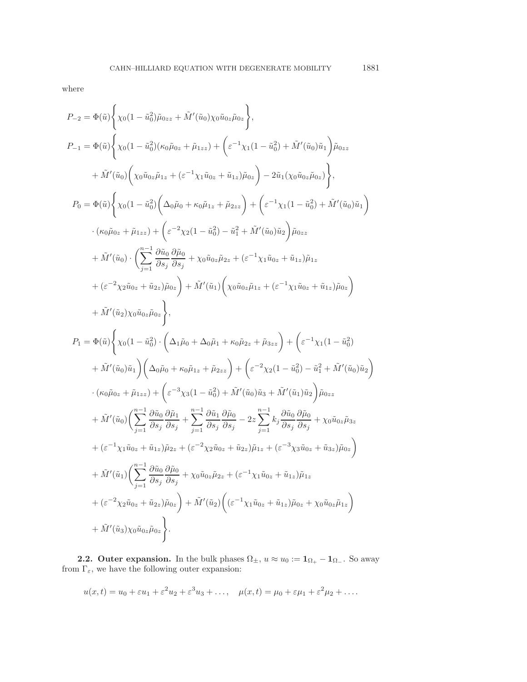where

$$
P_{-2} = \Phi(\tilde{u}) \Biggl\{ \chi_0 (1 - \tilde{u}_0^2) \tilde{\mu}_{0zz} + \tilde{M}'(\tilde{u}_0) \chi_0 \tilde{u}_{0z} \tilde{\mu}_{0z} \Biggr\},
$$
  
\n
$$
P_{-1} = \Phi(\tilde{u}) \Biggl\{ \chi_0 (1 - \tilde{u}_0^2) (\kappa_0 \tilde{\mu}_{0z} + \tilde{\mu}_{1zz}) + \Biggl( \varepsilon^{-1} \chi_1 (1 - \tilde{u}_0^2) + \tilde{M}'(\tilde{u}_0) \tilde{u}_1 \Biggr) \tilde{\mu}_{0zz} \Biggr\} ,
$$
  
\n
$$
+ \tilde{M}'(\tilde{u}_0) \Biggl( \chi_0 \tilde{u}_{0z} \tilde{\mu}_{1z} + (\varepsilon^{-1} \chi_1 \tilde{u}_{0z} + \tilde{u}_{1z}) \tilde{\mu}_{0z} \Biggr) - 2 \tilde{u}_1 (\chi_0 \tilde{u}_{0z} \tilde{\mu}_{0z}) \Biggr\} ,
$$
  
\n
$$
P_0 = \Phi(\tilde{u}) \Biggl\{ \chi_0 (1 - \tilde{u}_0^2) \Biggl( \Delta_0 \tilde{\mu}_0 + \kappa_0 \tilde{\mu}_{1z} + \tilde{\mu}_{2zz} \Biggr) + \Biggl( \varepsilon^{-1} \chi_1 (1 - \tilde{u}_0^2) + \tilde{M}'(\tilde{u}_0) \tilde{u}_1 \Biggr) \Biggr) ,
$$
  
\n
$$
+ (\kappa_0 \tilde{\mu}_0 z + \tilde{\mu}_{1zz}) + \Biggl( \varepsilon^{-2} \chi_2 (1 - \tilde{u}_0^2) - \tilde{u}_1^2 + \tilde{M}'(\tilde{u}_0) \tilde{u}_2 \Biggr) \tilde{\mu}_{0zz} \Biggr\} ,
$$
  
\n
$$
+ (\varepsilon^{-2} \chi_2 \tilde{u}_0 z + \tilde{u}_{2z}) \tilde{\mu}_0 z \Biggr) + \tilde{M}'(\tilde{u}_1) \Biggl( \chi_0 \tilde{u}_0 z \tilde{\mu}_{1z} + (\varepsilon^{-1} \chi_1 \tilde{u}_0 z + \tilde{u}_{1z}) \tilde{\mu
$$

**2.2. Outer expansion.** In the bulk phases  $\Omega_{\pm}$ ,  $u \approx u_0 := \mathbf{1}_{\Omega_{+}} - \mathbf{1}_{\Omega_{-}}$ . So away from  $\Gamma_{\varepsilon},$  we have the following outer expansion:

$$
u(x,t) = u_0 + \varepsilon u_1 + \varepsilon^2 u_2 + \varepsilon^3 u_3 + \dots, \quad \mu(x,t) = \mu_0 + \varepsilon \mu_1 + \varepsilon^2 \mu_2 + \dots
$$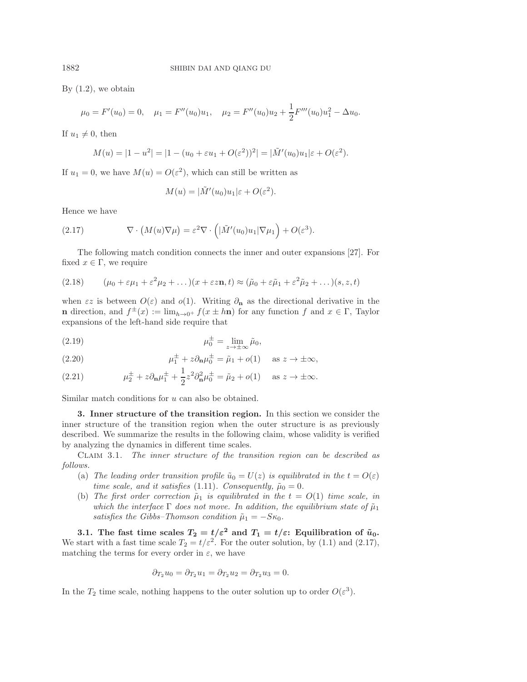By  $(1.2)$ , we obtain

$$
\mu_0 = F'(u_0) = 0, \quad \mu_1 = F''(u_0)u_1, \quad \mu_2 = F''(u_0)u_2 + \frac{1}{2}F'''(u_0)u_1^2 - \Delta u_0.
$$

If  $u_1 \neq 0$ , then

$$
M(u) = |1 - u^{2}| = |1 - (u_{0} + \varepsilon u_{1} + O(\varepsilon^{2}))^{2}| = |\tilde{M}'(u_{0})u_{1}|\varepsilon + O(\varepsilon^{2}).
$$

If  $u_1 = 0$ , we have  $M(u) = O(\varepsilon^2)$ , which can still be written as

$$
M(u) = |\tilde{M}'(u_0)u_1|\varepsilon + O(\varepsilon^2).
$$

Hence we have

<span id="page-12-1"></span>(2.17) 
$$
\nabla \cdot \left( M(u) \nabla \mu \right) = \varepsilon^2 \nabla \cdot \left( \left| \tilde{M}'(u_0) u_1 \right| \nabla \mu_1 \right) + O(\varepsilon^3).
$$

The following match condition connects the inner and outer expansions [\[27\]](#page-18-4). For fixed  $x \in \Gamma$ , we require

(2.18) 
$$
(\mu_0 + \varepsilon \mu_1 + \varepsilon^2 \mu_2 + \dots)(x + \varepsilon \varepsilon \mathbf{n}, t) \approx (\tilde{\mu}_0 + \varepsilon \tilde{\mu}_1 + \varepsilon^2 \tilde{\mu}_2 + \dots)(s, z, t)
$$

when  $\epsilon z$  is between  $O(\epsilon)$  and  $o(1)$ . Writing  $\partial_{\bf n}$  as the directional derivative in the **n** direction, and  $f^{\pm}(x) := \lim_{h \to 0^+} f(x \pm h\mathbf{n})$  for any function f and  $x \in \Gamma$ , Taylor expansions of the left-hand side require that

(2.19) 
$$
\mu_0^{\pm} = \lim_{z \to \pm \infty} \tilde{\mu}_0,
$$

<span id="page-12-2"></span>(2.20) 
$$
\mu_1^{\pm} + z \partial_{\mathbf{n}} \mu_0^{\pm} = \tilde{\mu}_1 + o(1) \quad \text{as } z \to \pm \infty,
$$

<span id="page-12-3"></span>(2.21) 
$$
\mu_2^{\pm} + z \partial_{\mathbf{n}} \mu_1^{\pm} + \frac{1}{2} z^2 \partial_{\mathbf{n}}^2 \mu_0^{\pm} = \tilde{\mu}_2 + o(1) \quad \text{as } z \to \pm \infty.
$$

<span id="page-12-0"></span>Similar match conditions for u can also be obtained.

**3. Inner structure of the transition region.** In this section we consider the inner structure of the transition region when the outer structure is as previously described. We summarize the results in the following claim, whose validity is verified by analyzing the dynamics in different time scales.

Claim 3.1. *The inner structure of the transition region can be described as follows.*

- (a) *The leading order transition profile*  $\tilde{u}_0 = U(z)$  *is equilibrated in the*  $t = O(\varepsilon)$ *time scale, and it satisfies* [\(1.11\)](#page-5-3)*. Consequently,*  $\tilde{\mu}_0 = 0$ *.*
- (b) *The first order correction*  $\tilde{\mu}_1$  *is equilibrated in the*  $t = O(1)$  *time scale, in which the interface*  $\Gamma$  *does not move. In addition, the equilibrium state of*  $\tilde{\mu}_1$ *satisfies the Gibbs–Thomson condition*  $\tilde{\mu}_1 = -S\kappa_0$ .

**3.1.** The fast time scales  $T_2 = t/\varepsilon^2$  and  $T_1 = t/\varepsilon$ : Equilibration of  $\tilde{u}_0$ . We start with a fast time scale  $T_2 = t/\varepsilon^2$ . For the outer solution, by [\(1.1\)](#page-0-0) and [\(2.17\)](#page-12-1), matching the terms for every order in  $\varepsilon$ , we have

$$
\partial_{T_2} u_0 = \partial_{T_2} u_1 = \partial_{T_2} u_2 = \partial_{T_2} u_3 = 0.
$$

In the  $T_2$  time scale, nothing happens to the outer solution up to order  $O(\varepsilon^3)$ .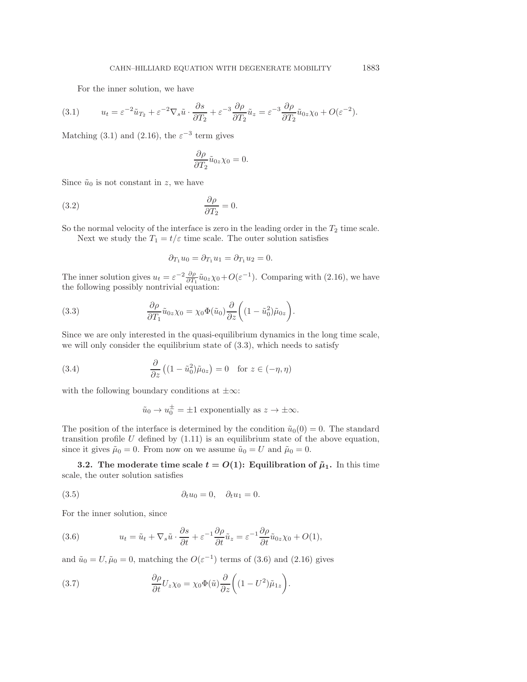For the inner solution, we have

<span id="page-13-0"></span>(3.1) 
$$
u_t = \varepsilon^{-2} \tilde{u}_{T_2} + \varepsilon^{-2} \nabla_s \tilde{u} \cdot \frac{\partial s}{\partial T_2} + \varepsilon^{-3} \frac{\partial \rho}{\partial T_2} \tilde{u}_z = \varepsilon^{-3} \frac{\partial \rho}{\partial T_2} \tilde{u}_{0z} \chi_0 + O(\varepsilon^{-2}).
$$

Matching [\(3.1\)](#page-13-0) and [\(2.16\)](#page-10-4), the  $\varepsilon^{-3}$  term gives

$$
\frac{\partial \rho}{\partial T_2} \tilde{u}_{0z} \chi_0 = 0.
$$

Since  $\tilde{u}_0$  is not constant in z, we have

$$
\frac{\partial \rho}{\partial T_2} = 0.
$$

So the normal velocity of the interface is zero in the leading order in the  $T_2$  time scale. Next we study the  $T_1 = t/\varepsilon$  time scale. The outer solution satisfies

$$
\partial_{T_1} u_0 = \partial_{T_1} u_1 = \partial_{T_1} u_2 = 0.
$$

The inner solution gives  $u_t = \varepsilon^{-2} \frac{\partial \rho}{\partial T_1} \tilde{u}_{0z} \chi_0 + O(\varepsilon^{-1})$ . Comparing with [\(2.16\)](#page-10-4), we have the following possibly nontrivial equation:

<span id="page-13-1"></span>(3.3) 
$$
\frac{\partial \rho}{\partial T_1} \tilde{u}_{0z} \chi_0 = \chi_0 \Phi(\tilde{u}_0) \frac{\partial}{\partial z} \left( (1 - \tilde{u}_0^2) \tilde{\mu}_{0z} \right).
$$

Since we are only interested in the quasi-equilibrium dynamics in the long time scale, we will only consider the equilibrium state of  $(3.3)$ , which needs to satisfy

(3.4) 
$$
\frac{\partial}{\partial z} ((1 - \tilde{u}_0^2) \tilde{\mu}_{0z}) = 0 \text{ for } z \in (-\eta, \eta)
$$

with the following boundary conditions at  $\pm \infty$ :

$$
\tilde{u}_0 \to u_0^{\pm} = \pm 1
$$
 exponentially as  $z \to \pm \infty$ .

The position of the interface is determined by the condition  $\tilde{u}_0(0) = 0$ . The standard transition profile  $U$  defined by  $(1.11)$  is an equilibrium state of the above equation, since it gives  $\tilde{\mu}_0 = 0$ . From now on we assume  $\tilde{u}_0 = U$  and  $\tilde{\mu}_0 = 0$ .

**3.2.** The moderate time scale  $t = O(1)$ : Equilibration of  $\tilde{\mu}_1$ . In this time scale, the outer solution satisfies

(3.5) 
$$
\partial_t u_0 = 0, \quad \partial_t u_1 = 0.
$$

For the inner solution, since

<span id="page-13-2"></span>(3.6) 
$$
u_t = \tilde{u}_t + \nabla_s \tilde{u} \cdot \frac{\partial s}{\partial t} + \varepsilon^{-1} \frac{\partial \rho}{\partial t} \tilde{u}_z = \varepsilon^{-1} \frac{\partial \rho}{\partial t} \tilde{u}_{0z} \chi_0 + O(1),
$$

and  $\tilde{u}_0 = U, \tilde{\mu}_0 = 0$ , matching the  $O(\varepsilon^{-1})$  terms of [\(3.6\)](#page-13-2) and [\(2.16\)](#page-10-4) gives

<span id="page-13-3"></span>(3.7) 
$$
\frac{\partial \rho}{\partial t} U_z \chi_0 = \chi_0 \Phi(\tilde{u}) \frac{\partial}{\partial z} \left( (1 - U^2) \tilde{\mu}_{1z} \right).
$$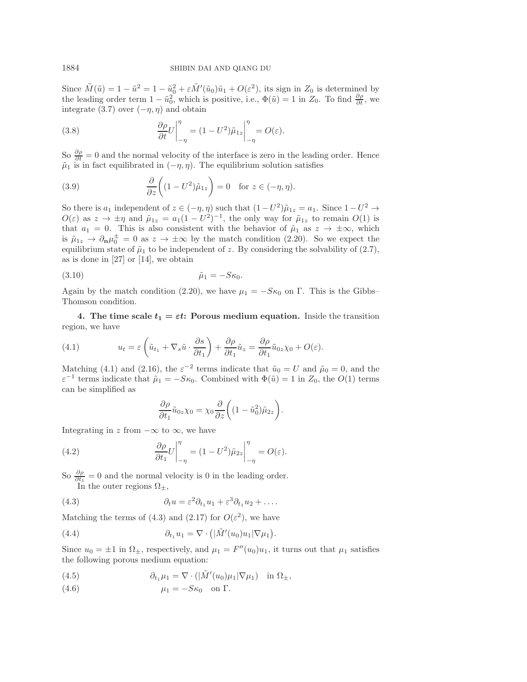Since  $\tilde{M}(\tilde{u}) = 1 - \tilde{u}^2 = 1 - \tilde{u}_0^2 + \varepsilon \tilde{M}'(\tilde{u}_0)\tilde{u}_1 + O(\varepsilon^2)$ , its sign in  $Z_0$  is determined by the leading order term  $1 - \tilde{u}_0^2$ , which is positive, i.e.,  $\Phi(\tilde{u}) = 1$  in  $Z_0$ . To find  $\frac{\partial \rho}{\partial t}$ , we integrate [\(3.7\)](#page-13-3) over  $(-\eta, \eta)$  and obtain

(3.8) 
$$
\frac{\partial \rho}{\partial t} U \Big|_{-\eta}^{\eta} = (1 - U^2) \tilde{\mu}_{1z} \Big|_{-\eta}^{\eta} = O(\varepsilon).
$$

So  $\frac{\partial \rho}{\partial t} = 0$  and the normal velocity of the interface is zero in the leading order. Hence  $\tilde{\mu}_1$  is in fact equilibrated in  $(-\eta, \eta)$ . The equilibrium solution satisfies

(3.9) 
$$
\frac{\partial}{\partial z}\bigg((1-U^2)\tilde{\mu}_{1z}\bigg) = 0 \text{ for } z \in (-\eta, \eta).
$$

So there is  $a_1$  independent of  $z \in (-\eta, \eta)$  such that  $(1-U^2)\tilde{\mu}_{1z} = a_1$ . Since  $1-U^2 \rightarrow$  $O(\varepsilon)$  as  $z \to \pm \eta$  and  $\tilde{\mu}_{1z} = a_1(1 - U^2)^{-1}$ , the only way for  $\tilde{\mu}_{1z}$  to remain  $O(1)$  is that  $a_1 = 0$ . This is also consistent with the behavior of  $\tilde{\mu}_1$  as  $z \to \pm \infty$ , which is  $\tilde{\mu}_{1z} \to \partial_{\mathbf{n}} \mu_0^{\pm} = 0$  as  $z \to \pm \infty$  by the match condition [\(2.20\)](#page-12-2). So we expect the equilibrium state of  $\tilde{\mu}_1$  to be independent of z. By considering the solvability of [\(2.7\)](#page-9-2), as is done in [\[27\]](#page-18-4) or [\[14\]](#page-18-10), we obtain

$$
\tilde{\mu}_1 = -S\kappa_0.
$$

Again by the match condition [\(2.20\)](#page-12-2), we have  $\mu_1 = -S\kappa_0$  on Γ. This is the Gibbs– Thomson condition.

<span id="page-14-0"></span>**4.** The time scale  $t_1 = \varepsilon t$ : Porous medium equation. Inside the transition region, we have

<span id="page-14-1"></span>(4.1) 
$$
u_t = \varepsilon \left( \tilde{u}_{t_1} + \nabla_s \tilde{u} \cdot \frac{\partial s}{\partial t_1} \right) + \frac{\partial \rho}{\partial t_1} \tilde{u}_z = \frac{\partial \rho}{\partial t_1} \tilde{u}_{0z} \chi_0 + O(\varepsilon).
$$

Matching [\(4.1\)](#page-14-1) and [\(2.16\)](#page-10-4), the  $\varepsilon^{-2}$  terms indicate that  $\tilde{u}_0 = U$  and  $\tilde{\mu}_0 = 0$ , and the  $\varepsilon^{-1}$  terms indicate that  $\tilde{\mu}_1 = -S\kappa_0$ . Combined with  $\Phi(\tilde{u}) = 1$  in  $Z_0$ , the  $O(1)$  terms can be simplified as

$$
\frac{\partial \rho}{\partial t_1} \tilde{u}_{0z} \chi_0 = \chi_0 \frac{\partial}{\partial z} \bigg( (1 - \tilde{u}_0^2) \tilde{\mu}_{2z} \bigg).
$$

Integrating in z from  $-\infty$  to  $\infty$ , we have

(4.2) 
$$
\frac{\partial \rho}{\partial t_1} U \Big|_{-\eta}^{\eta} = (1 - U^2) \tilde{\mu}_{2z} \Big|_{-\eta}^{\eta} = O(\varepsilon).
$$

So  $\frac{\partial \rho}{\partial t_1} = 0$  and the normal velocity is 0 in the leading order. In the outer regions  $\Omega_{\pm}$ ,

<span id="page-14-2"></span>(4.3) 
$$
\partial_t u = \varepsilon^2 \partial_{t_1} u_1 + \varepsilon^3 \partial_{t_1} u_2 + \dots
$$

Matching the terms of [\(4.3\)](#page-14-2) and [\(2.17\)](#page-12-1) for  $O(\varepsilon^2)$ , we have

(4.4) 
$$
\partial_{t_1} u_1 = \nabla \cdot \left( |\tilde{M}'(u_0)u_1| \nabla \mu_1 \right).
$$

Since  $u_0 = \pm 1$  in  $\Omega_{\pm}$ , respectively, and  $\mu_1 = F''(u_0)u_1$ , it turns out that  $\mu_1$  satisfies the following porous medium equation:

(4.5) 
$$
\partial_{t_1} \mu_1 = \nabla \cdot (|\tilde{M}'(u_0)\mu_1|\nabla \mu_1) \quad \text{in } \Omega_{\pm},
$$

$$
\mu_1 = -S\kappa_0 \quad \text{on } \Gamma.
$$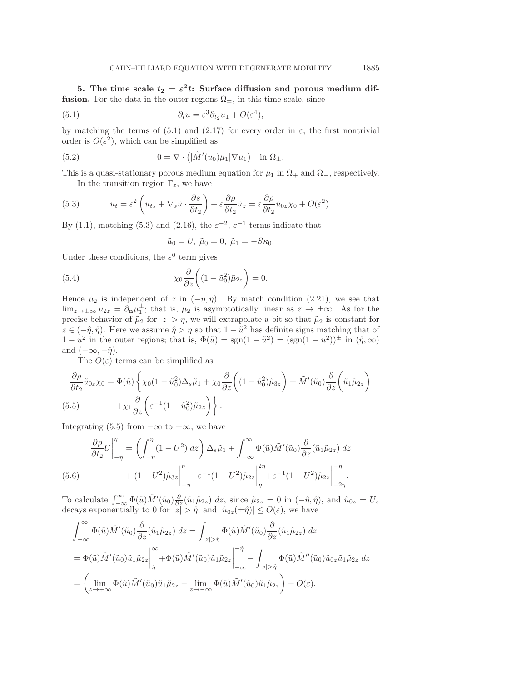<span id="page-15-0"></span>**5.** The time scale  $t_2 = \varepsilon^2 t$ : Surface diffusion and porous medium dif**fusion.** For the data in the outer regions  $\Omega_{\pm}$ , in this time scale, since

<span id="page-15-1"></span>(5.1) 
$$
\partial_t u = \varepsilon^3 \partial_{t_2} u_1 + O(\varepsilon^4),
$$

by matching the terms of [\(5.1\)](#page-15-1) and [\(2.17\)](#page-12-1) for every order in  $\varepsilon$ , the first nontrivial order is  $O(\varepsilon^2)$ , which can be simplified as

<span id="page-15-5"></span>(5.2) 
$$
0 = \nabla \cdot \left( |\tilde{M}'(u_0)\mu_1| \nabla \mu_1 \right) \text{ in } \Omega_{\pm}.
$$

This is a quasi-stationary porous medium equation for  $\mu_1$  in  $\Omega_+$  and  $\Omega_-$ , respectively. In the transition region  $\Gamma_{\varepsilon}$ , we have

<span id="page-15-2"></span>(5.3) 
$$
u_t = \varepsilon^2 \left( \tilde{u}_{t_2} + \nabla_s \tilde{u} \cdot \frac{\partial s}{\partial t_2} \right) + \varepsilon \frac{\partial \rho}{\partial t_2} \tilde{u}_z = \varepsilon \frac{\partial \rho}{\partial t_2} \tilde{u}_{0z} \chi_0 + O(\varepsilon^2).
$$

By [\(1.1\)](#page-0-0), matching [\(5.3\)](#page-15-2) and [\(2.16\)](#page-10-4), the  $\varepsilon^{-2}$ ,  $\varepsilon^{-1}$  terms indicate that

$$
\tilde{u}_0 = U, \ \tilde{\mu}_0 = 0, \ \tilde{\mu}_1 = -S\kappa_0.
$$

Under these conditions, the  $\varepsilon^0$  term gives

(5.4) 
$$
\chi_0 \frac{\partial}{\partial z} \left( (1 - \tilde{u}_0^2) \tilde{\mu}_{2z} \right) = 0.
$$

Hence  $\tilde{\mu}_2$  is independent of z in  $(-\eta, \eta)$ . By match condition [\(2.21\)](#page-12-3), we see that  $\lim_{z\to\pm\infty}\mu_{2z}=\partial_{\mathbf{n}}\mu_1^{\pm}$ ; that is,  $\mu_2$  is asymptotically linear as  $z\to\pm\infty$ . As for the precise behavior of  $\tilde{\mu}_2$  for  $|z| > \eta$ , we will extrapolate a bit so that  $\tilde{\mu}_2$  is constant for  $z \in (-\hat{\eta}, \hat{\eta})$ . Here we assume  $\hat{\eta} > \eta$  so that  $1 - \tilde{u}^2$  has definite signs matching that of  $1 - u^2$  in the outer regions; that is,  $\Phi(\tilde{u}) = \text{sgn}(1 - \tilde{u}^2) = (\text{sgn}(1 - u^2))^{\pm}$  in  $(\hat{\eta}, \infty)$ and  $(-\infty, -\hat{\eta})$ .

The  $O(\varepsilon)$  terms can be simplified as

$$
\frac{\partial \rho}{\partial t_2} \tilde{u}_{0z} \chi_0 = \Phi(\tilde{u}) \left\{ \chi_0 (1 - \tilde{u}_0^2) \Delta_s \tilde{\mu}_1 + \chi_0 \frac{\partial}{\partial z} \left( (1 - \tilde{u}_0^2) \tilde{\mu}_{3z} \right) + \tilde{M}'(\tilde{u}_0) \frac{\partial}{\partial z} \left( \tilde{u}_1 \tilde{\mu}_{2z} \right) \right\} \n(5.5) \qquad \qquad + \chi_1 \frac{\partial}{\partial z} \left( \varepsilon^{-1} (1 - \tilde{u}_0^2) \tilde{\mu}_{2z} \right) \right\}.
$$

<span id="page-15-3"></span>Integrating [\(5.5\)](#page-15-3) from  $-\infty$  to  $+\infty$ , we have

$$
\frac{\partial \rho}{\partial t_2} U \Big|_{-\eta}^{\eta} = \left( \int_{-\eta}^{\eta} (1 - U^2) dz \right) \Delta_s \tilde{\mu}_1 + \int_{-\infty}^{\infty} \Phi(\tilde{u}) \tilde{M}'(\tilde{u}_0) \frac{\partial}{\partial z} (\tilde{u}_1 \tilde{\mu}_{2z}) dz \n+ (1 - U^2) \tilde{\mu}_{3z} \Big|_{-\eta}^{\eta} + \varepsilon^{-1} (1 - U^2) \tilde{\mu}_{2z} \Big|_{\eta}^{2\eta} + \varepsilon^{-1} (1 - U^2) \tilde{\mu}_{2z} \Big|_{-2\eta}^{-\eta}.
$$

<span id="page-15-4"></span>To calculate  $\int_{-\infty}^{\infty} \Phi(\tilde{u}) \tilde{M}'(\tilde{u}_0) \frac{\partial}{\partial z} (\tilde{u}_1 \tilde{\mu}_{2z}) dz$ , since  $\tilde{\mu}_{2z} = 0$  in  $(-\hat{\eta}, \hat{\eta})$ , and  $\tilde{u}_{0z} = U_z$ decays exponentially to 0 for  $|z| > \hat{\eta}$ , and  $|\tilde{u}_{0z}(\pm \hat{\eta})| \leq O(\varepsilon)$ , we have

$$
\int_{-\infty}^{\infty} \Phi(\tilde{u}) \tilde{M}'(\tilde{u}_0) \frac{\partial}{\partial z} (\tilde{u}_1 \tilde{\mu}_{2z}) dz = \int_{|z| > \hat{\eta}} \Phi(\tilde{u}) \tilde{M}'(\tilde{u}_0) \frac{\partial}{\partial z} (\tilde{u}_1 \tilde{\mu}_{2z}) dz
$$
  
\n
$$
= \Phi(\tilde{u}) \tilde{M}'(\tilde{u}_0) \tilde{u}_1 \tilde{\mu}_{2z} \Big|_{\hat{\eta}}^{\infty} + \Phi(\tilde{u}) \tilde{M}'(\tilde{u}_0) \tilde{u}_1 \tilde{\mu}_{2z} \Big|_{-\infty}^{-\hat{\eta}} - \int_{|z| > \hat{\eta}} \Phi(\tilde{u}) \tilde{M}''(\tilde{u}_0) \tilde{u}_0 z \tilde{u}_1 \tilde{\mu}_{2z} dz
$$
  
\n
$$
= \left( \lim_{z \to +\infty} \Phi(\tilde{u}) \tilde{M}'(\tilde{u}_0) \tilde{u}_1 \tilde{\mu}_{2z} - \lim_{z \to -\infty} \Phi(\tilde{u}) \tilde{M}'(\tilde{u}_0) \tilde{u}_1 \tilde{\mu}_{2z} \right) + O(\varepsilon).
$$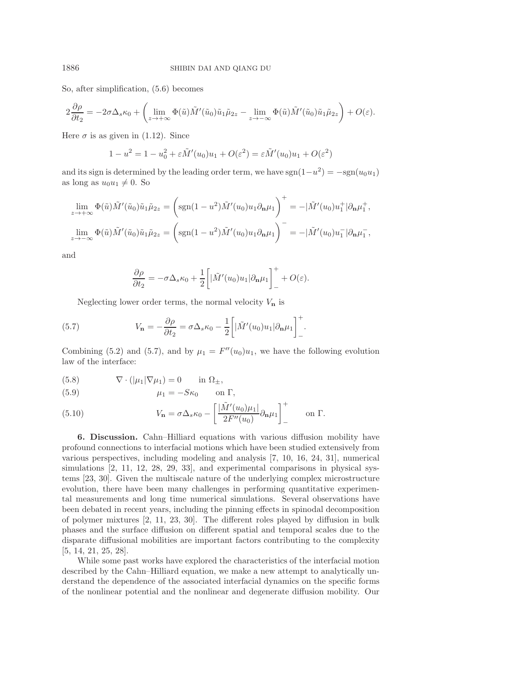So, after simplification, [\(5.6\)](#page-15-4) becomes

$$
2\frac{\partial\rho}{\partial t_2} = -2\sigma\Delta_s\kappa_0 + \left(\lim_{z\to+\infty}\Phi(\tilde{u})\tilde{M}'(\tilde{u}_0)\tilde{u}_1\tilde{\mu}_{2z} - \lim_{z\to-\infty}\Phi(\tilde{u})\tilde{M}'(\tilde{u}_0)\tilde{u}_1\tilde{\mu}_{2z}\right) + O(\varepsilon).
$$

Here  $\sigma$  is as given in [\(1.12\)](#page-5-4). Since

$$
1 - u^2 = 1 - u_0^2 + \varepsilon \tilde{M}'(u_0)u_1 + O(\varepsilon^2) = \varepsilon \tilde{M}'(u_0)u_1 + O(\varepsilon^2)
$$

and its sign is determined by the leading order term, we have  $sgn(1-u^2) = -sgn(u_0u_1)$ as long as  $u_0u_1 \neq 0$ . So

$$
\lim_{z \to +\infty} \Phi(\tilde{u}) \tilde{M}'(\tilde{u}_0) \tilde{u}_1 \tilde{\mu}_{2z} = \left( \text{sgn}(1 - u^2) \tilde{M}'(u_0) u_1 \partial_{\mathbf{n}} \mu_1 \right)^+ = -|\tilde{M}'(u_0) u_1^+| \partial_{\mathbf{n}} \mu_1^+,
$$
  

$$
\lim_{z \to -\infty} \Phi(\tilde{u}) \tilde{M}'(\tilde{u}_0) \tilde{u}_1 \tilde{\mu}_{2z} = \left( \text{sgn}(1 - u^2) \tilde{M}'(u_0) u_1 \partial_{\mathbf{n}} \mu_1 \right)^- = -|\tilde{M}'(u_0) u_1^-| \partial_{\mathbf{n}} \mu_1^-,
$$

and

$$
\frac{\partial \rho}{\partial t_2} = -\sigma \Delta_s \kappa_0 + \frac{1}{2} \left[ |\tilde{M}'(u_0)u_1| \partial_{\mathbf{n}} \mu_1 \right]_+^+ + O(\varepsilon).
$$

Neglecting lower order terms, the normal velocity  $V_{\mathbf{n}}$  is

<span id="page-16-1"></span>(5.7) 
$$
V_{\mathbf{n}} = -\frac{\partial \rho}{\partial t_2} = \sigma \Delta_s \kappa_0 - \frac{1}{2} \left[ |\tilde{M}'(u_0)u_1| \partial_{\mathbf{n}} \mu_1 \right]_+^+.
$$

Combining [\(5.2\)](#page-15-5) and [\(5.7\)](#page-16-1), and by  $\mu_1 = F''(u_0)u_1$ , we have the following evolution law of the interface:

(5.8) 
$$
\nabla \cdot (|\mu_1| \nabla \mu_1) = 0 \quad \text{in } \Omega_{\pm},
$$

(5.9) 
$$
\mu_1 = -S\kappa_0 \qquad \text{on } \Gamma,
$$

(5.10) 
$$
V_{\mathbf{n}} = \sigma \Delta_s \kappa_0 - \left[ \frac{|\tilde{M}'(u_0)\mu_1|}{2F''(u_0)} \partial_{\mathbf{n}} \mu_1 \right]_-\^{\dagger} \quad \text{on } \Gamma.
$$

<span id="page-16-0"></span>**6. Discussion.** Cahn–Hilliard equations with various diffusion mobility have profound connections to interfacial motions which have been studied extensively from various perspectives, including modeling and analysis [\[7,](#page-18-18) [10,](#page-18-6) [16,](#page-18-11) [24,](#page-18-21) [31\]](#page-19-1), numerical simulations [\[2,](#page-17-0) [11,](#page-18-0) [12,](#page-18-1) [28,](#page-18-2) [29,](#page-18-22) [33\]](#page-19-0), and experimental comparisons in physical systems [\[23,](#page-18-23) [30\]](#page-18-24). Given the multiscale nature of the underlying complex microstructure evolution, there have been many challenges in performing quantitative experimental measurements and long time numerical simulations. Several observations have been debated in recent years, including the pinning effects in spinodal decomposition of polymer mixtures [\[2,](#page-17-0) [11,](#page-18-0) [23,](#page-18-23) [30\]](#page-18-24). The different roles played by diffusion in bulk phases and the surface diffusion on different spatial and temporal scales due to the disparate diffusional mobilities are important factors contributing to the complexity [\[5,](#page-18-25) [14,](#page-18-10) [21,](#page-18-26) [25,](#page-18-27) [28\]](#page-18-2).

While some past works have explored the characteristics of the interfacial motion described by the Cahn–Hilliard equation, we make a new attempt to analytically understand the dependence of the associated interfacial dynamics on the specific forms of the nonlinear potential and the nonlinear and degenerate diffusion mobility. Our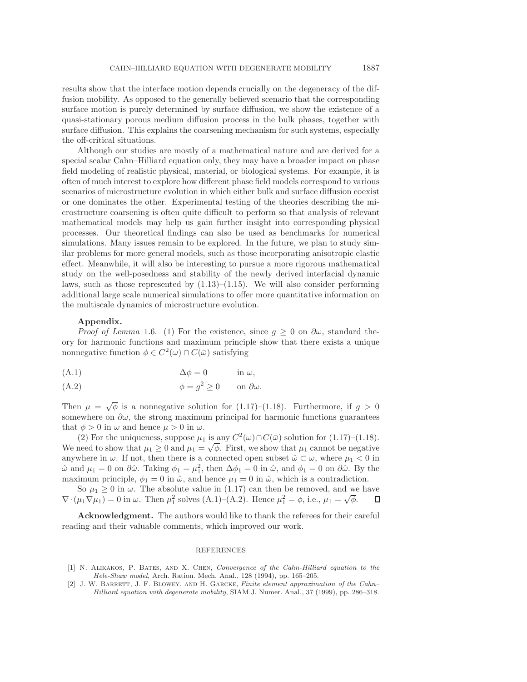results show that the interface motion depends crucially on the degeneracy of the diffusion mobility. As opposed to the generally believed scenario that the corresponding surface motion is purely determined by surface diffusion, we show the existence of a quasi-stationary porous medium diffusion process in the bulk phases, together with surface diffusion. This explains the coarsening mechanism for such systems, especially the off-critical situations.

Although our studies are mostly of a mathematical nature and are derived for a special scalar Cahn–Hilliard equation only, they may have a broader impact on phase field modeling of realistic physical, material, or biological systems. For example, it is often of much interest to explore how different phase field models correspond to various scenarios of microstructure evolution in which either bulk and surface diffusion coexist or one dominates the other. Experimental testing of the theories describing the microstructure coarsening is often quite difficult to perform so that analysis of relevant mathematical models may help us gain further insight into corresponding physical processes. Our theoretical findings can also be used as benchmarks for numerical simulations. Many issues remain to be explored. In the future, we plan to study similar problems for more general models, such as those incorporating anisotropic elastic effect. Meanwhile, it will also be interesting to pursue a more rigorous mathematical study on the well-posedness and stability of the newly derived interfacial dynamic laws, such as those represented by  $(1.13)$ – $(1.15)$ . We will also consider performing additional large scale numerical simulations to offer more quantitative information on the multiscale dynamics of microstructure evolution.

## **Appendix.**

*Proof of Lemma* [1.6.](#page-6-1) (1) For the existence, since  $g \geq 0$  on  $\partial \omega$ , standard theory for harmonic functions and maximum principle show that there exists a unique nonnegative function  $\phi \in C^2(\omega) \cap C(\bar{\omega})$  satisfying

<span id="page-17-2"></span>
$$
(\mathbf{A}.\mathbf{1}) \qquad \qquad \Delta \phi = 0 \qquad \text{in } \omega,
$$

<span id="page-17-3"></span>(A.2) 
$$
\phi = g^2 \ge 0 \quad \text{on } \partial \omega.
$$

Then  $\mu = \sqrt{\phi}$  is a nonnegative solution for [\(1.17\)](#page-6-4)–[\(1.18\)](#page-6-5). Furthermore, if  $g > 0$ somewhere on  $\partial \omega$ , the strong maximum principal for harmonic functions guarantees that  $\phi > 0$  in  $\omega$  and hence  $\mu > 0$  in  $\omega$ .

(2) For the uniqueness, suppose  $\mu_1$  is any  $C^2(\omega) \cap C(\bar{\omega})$  solution for [\(1.17\)](#page-6-4)–[\(1.18\)](#page-6-5). We need to show that  $\mu_1 \geq 0$  and  $\mu_1 = \sqrt{\phi}$ . First, we show that  $\mu_1$  cannot be negative anywhere in  $\omega$ . If not, then there is a connected open subset  $\hat{\omega} \subset \omega$ , where  $\mu_1 < 0$  in  $\hat{\omega}$  and  $\mu_1 = 0$  on  $\partial \hat{\omega}$ . Taking  $\phi_1 = \mu_1^2$ , then  $\Delta \phi_1 = 0$  in  $\hat{\omega}$ , and  $\phi_1 = 0$  on  $\partial \hat{\omega}$ . By the maximum principle,  $\phi_1 = 0$  in  $\hat{\omega}$ , and hence  $\mu_1 = 0$  in  $\hat{\omega}$ , which is a contradiction.

So  $\mu_1 \geq 0$  in  $\omega$ . The absolute value in [\(1.17\)](#page-6-4) can then be removed, and we have  $\frac{\partial \phi}{\partial t_1}$  ⇒ 0 in ω. The absolute value in (1.17) can then be removed, and we<br>  $\nabla \cdot (\mu_1 \nabla \mu_1) = 0$  in ω. Then  $\mu_1^2$  solves [\(A.1\)](#page-17-2)–[\(A.2\)](#page-17-3). Hence  $\mu_1^2 = \phi$ , i.e.,  $\mu_1 = \sqrt{\phi}$ . Д

**Acknowledgment.** The authors would like to thank the referees for their careful reading and their valuable comments, which improved our work.

#### REFERENCES

- <span id="page-17-1"></span>[1] N. Alikakos, P. Bates, and X. Chen, Convergence of the Cahn-Hilliard equation to the Hele-Shaw model, Arch. Ration. Mech. Anal., 128 (1994), pp. 165–205.
- <span id="page-17-0"></span>[2] J. W. BARRETT, J. F. BLOWEY, AND H. GARCKE, Finite element approximation of the Cahn– Hilliard equation with degenerate mobility, SIAM J. Numer. Anal., 37 (1999), pp. 286–318.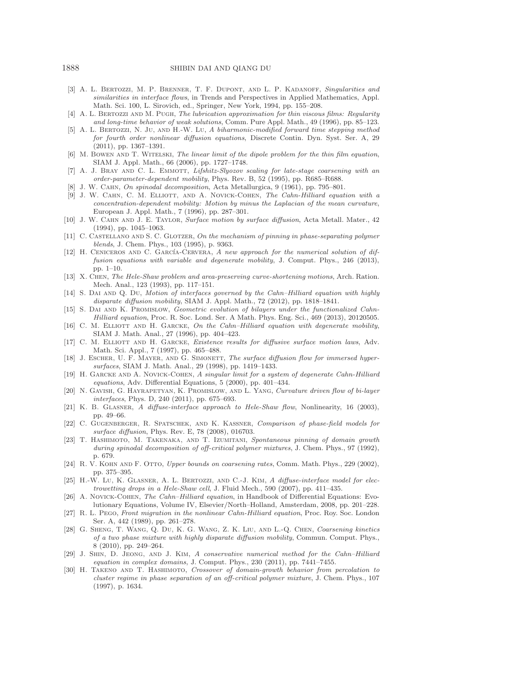### 1888 SHIBIN DAI AND QIANG DU

- <span id="page-18-13"></span>[3] A. L. BERTOZZI, M. P. BRENNER, T. F. DUPONT, AND L. P. KADANOFF, Singularities and similarities in interface flows, in Trends and Perspectives in Applied Mathematics, Appl. Math. Sci. 100, L. Sirovich, ed., Springer, New York, 1994, pp. 155–208.
- <span id="page-18-12"></span>[4] A. L. BERTOZZI AND M. PUGH, The lubrication approximation for thin viscous films: Regularity and long-time behavior of weak solutions, Comm. Pure Appl. Math., 49 (1996), pp. 85–123.
- <span id="page-18-25"></span>[5] A. L. Bertozzi, N. Ju, and H.-W. Lu, A biharmonic-modified forward time stepping method for fourth order nonlinear diffusion equations, Discrete Contin. Dyn. Syst. Ser. A, 29 (2011), pp. 1367–1391.
- <span id="page-18-14"></span>[6] M. BOWEN AND T. WITELSKI, The linear limit of the dipole problem for the thin film equation, SIAM J. Appl. Math., 66 (2006), pp. 1727–1748.
- <span id="page-18-18"></span>[7] A. J. BRAY AND C. L. EMMOTT, Lifshitz-Slyozov scaling for late-stage coarsening with an order-parameter-dependent mobility, Phys. Rev. B, 52 (1995), pp. R685–R688.
- <span id="page-18-7"></span><span id="page-18-5"></span>[8] J. W. Cahn, On spinodal decomposition, Acta Metallurgica, 9 (1961), pp. 795–801.
- [9] J. W. CAHN, C. M. ELLIOTT, AND A. NOVICK-COHEN, The Cahn-Hilliard equation with a concentration-dependent mobility: Motion by minus the Laplacian of the mean curvature, European J. Appl. Math., 7 (1996), pp. 287–301.
- <span id="page-18-6"></span>[10] J. W. Cahn and J. E. Taylor, Surface motion by surface diffusion, Acta Metall. Mater., 42 (1994), pp. 1045–1063.
- <span id="page-18-0"></span>[11] C. CASTELLANO AND S. C. GLOTZER, On the mechanism of pinning in phase-separating polymer blends, J. Chem. Phys., 103 (1995), p. 9363.
- <span id="page-18-1"></span>[12] H. CENICEROS AND C. GARCÍA-CERVERA, A new approach for the numerical solution of diffusion equations with variable and degenerate mobility, J. Comput. Phys., 246 (2013), pp. 1–10.
- <span id="page-18-3"></span>[13] X. Chen, The Hele-Shaw problem and area-preserving curve-shortening motions, Arch. Ration. Mech. Anal., 123 (1993), pp. 117–151.
- <span id="page-18-10"></span>[14] S. DAI AND Q. DU, Motion of interfaces governed by the Cahn–Hilliard equation with highly disparate diffusion mobility, SIAM J. Appl. Math., 72 (2012), pp. 1818–1841.
- <span id="page-18-19"></span>[15] S. Dai and K. Promislow, Geometric evolution of bilayers under the functionalized Cahn-Hilliard equation, Proc. R. Soc. Lond. Ser. A Math. Phys. Eng. Sci., 469 (2013), 20120505.
- <span id="page-18-11"></span>[16] C. M. ELLIOTT AND H. GARCKE, On the Cahn–Hilliard equation with degenerate mobility, SIAM J. Math. Anal., 27 (1996), pp. 404–423.
- <span id="page-18-16"></span>[17] C. M. ELLIOTT AND H. GARCKE, *Existence results for diffusive surface motion laws*, Adv. Math. Sci. Appl., 7 (1997), pp. 465–488.
- <span id="page-18-17"></span>[18] J. ESCHER, U. F. MAYER, AND G. SIMONETT, The surface diffusion flow for immersed hypersurfaces, SIAM J. Math. Anal., 29 (1998), pp. 1419–1433.
- <span id="page-18-8"></span>[19] H. GARCKE AND A. NOVICK-COHEN, A singular limit for a system of degenerate Cahn-Hilliard equations, Adv. Differential Equations, 5 (2000), pp. 401–434.
- <span id="page-18-20"></span>[20] N. Gavish, G. Hayrapetyan, K. Promislow, and L. Yang, Curvature driven flow of bi-layer interfaces, Phys. D, 240 (2011), pp. 675–693.
- <span id="page-18-26"></span>[21] K. B. GLASNER, A diffuse-interface approach to Hele-Shaw flow, Nonlinearity, 16 (2003), pp. 49–66.
- <span id="page-18-15"></span>[22] C. Gugenberger, R. Spatschek, and K. Kassner, Comparison of phase-field models for surface diffusion, Phys. Rev. E, 78 (2008), 016703.
- <span id="page-18-23"></span>[23] T. HASHIMOTO, M. TAKENAKA, AND T. IZUMITANI, Spontaneous pinning of domain growth during spinodal decomposition of off-critical polymer mixtures, J. Chem. Phys., 97 (1992), p. 679.
- <span id="page-18-21"></span>[24] R. V. KOHN AND F. OTTO, Upper bounds on coarsening rates, Comm. Math. Phys., 229 (2002), pp. 375–395.
- <span id="page-18-27"></span>[25] H.-W. Lu, K. GLASNER, A. L. BERTOZZI, AND C.-J. KIM, A diffuse-interface model for electrowetting drops in a Hele-Shaw cell, J. Fluid Mech., 590 (2007), pp. 411–435.
- <span id="page-18-9"></span>[26] A. Novick-Cohen, The Cahn–Hilliard equation, in Handbook of Differential Equations: Evolutionary Equations, Volume IV, Elsevier/North–Holland, Amsterdam, 2008, pp. 201–228.
- <span id="page-18-4"></span>[27] R. L. Pego, Front migration in the nonlinear Cahn-Hilliard equation, Proc. Roy. Soc. London Ser. A, 442 (1989), pp. 261–278.
- <span id="page-18-2"></span>[28] G. Sheng, T. Wang, Q. Du, K. G. Wang, Z. K. Liu, and L.-Q. Chen, Coarsening kinetics of a two phase mixture with highly disparate diffusion mobility, Commun. Comput. Phys., 8 (2010), pp. 249–264.
- <span id="page-18-22"></span>[29] J. Shin, D. Jeong, and J. Kim, A conservative numerical method for the Cahn–Hilliard equation in complex domains, J. Comput. Phys., 230 (2011), pp. 7441–7455.
- <span id="page-18-24"></span>[30] H. TAKENO AND T. HASHIMOTO, Crossover of domain-growth behavior from percolation to cluster regime in phase separation of an off-critical polymer mixture, J. Chem. Phys., 107 (1997), p. 1634.